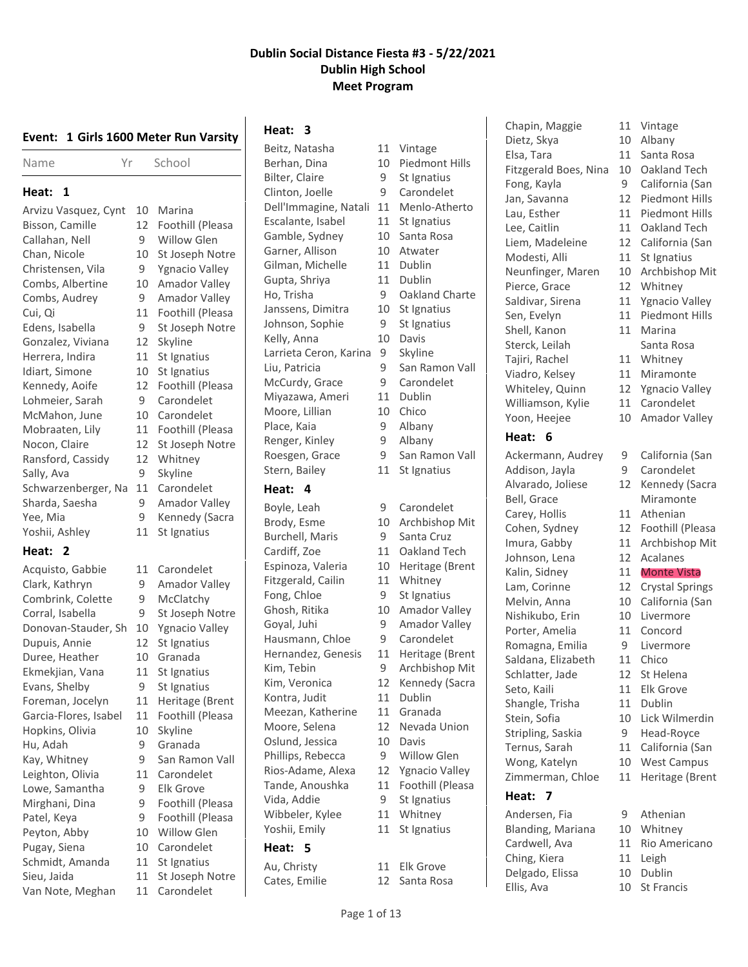|  |  |  |  |  |  | Event: 1 Girls 1600 Meter Run Varsity |
|--|--|--|--|--|--|---------------------------------------|
|--|--|--|--|--|--|---------------------------------------|

| Name | Yr | School |
|------|----|--------|
|      |    |        |

#### **Heat: 1**

| Arvizu Vasquez, Cynt | 10 | Marina               |
|----------------------|----|----------------------|
| Bisson, Camille      | 12 | Foothill (Pleasa     |
| Callahan, Nell       | 9  | <b>Willow Glen</b>   |
| Chan, Nicole         | 10 | St Joseph Notre      |
| Christensen, Vila    | 9  | Ygnacio Valley       |
| Combs, Albertine     | 10 | Amador Valley        |
| Combs, Audrey        | 9  | <b>Amador Valley</b> |
| Cui, Qi              | 11 | Foothill (Pleasa     |
| Edens, Isabella      | 9  | St Joseph Notre      |
| Gonzalez, Viviana    | 12 | Skyline              |
| Herrera, Indira      | 11 | St Ignatius          |
| Idiart, Simone       | 10 | St Ignatius          |
| Kennedy, Aoife       | 12 | Foothill (Pleasa     |
| Lohmeier, Sarah      | 9  | Carondelet           |
| McMahon, June        | 10 | Carondelet           |
| Mobraaten, Lily      | 11 | Foothill (Pleasa     |
| Nocon, Claire        | 12 | St Joseph Notre      |
| Ransford, Cassidy    | 12 | Whitney              |
| Sally, Ava           | 9  | Skyline              |
| Schwarzenberger, Na  | 11 | Carondelet           |
| Sharda, Saesha       | 9  | Amador Valley        |
| Yee, Mia             | 9  | Kennedy (Sacra       |
| Yoshii, Ashley       | 11 | St Ignatius          |
|                      |    |                      |

### **Heat: 2**

| Acquisto, Gabbie      |
|-----------------------|
| Clark, Kathryn        |
| Combrink, Colette     |
| Corral, Isabella      |
| Donovan-Stauder, Sh   |
| Dupuis, Annie         |
| Duree, Heather        |
| Ekmekjian, Vana       |
| Evans, Shelby         |
| Foreman, Jocelyn      |
| Garcia-Flores, Isabel |
| Hopkins, Olivia       |
| Hu, Adah              |
| Kay, Whitney          |
| Leighton, Olivia      |
| Lowe, Samantha        |
| Mirghani, Dina        |
| Patel, Keya           |
| Peyton, Abby          |
| Pugay, Siena          |
| Schmidt, Amanda       |
| Sieu, Jaida           |
| Van Note, Meghan      |
|                       |

11 Carondelet 9 Amador Valley 9 McClatchy 9 St Joseph Notre 10 Ygnacio Valley 12 St Ignatius 10 Granada 11 St Ignatius 9 St Ignatius 11 Heritage (Brent 11 Foothill (Pleasa 10 Skyline 9 Granada 9 San Ramon Vall 11 Carondelet 9 Elk Grove 9 Foothill (Pleasa 9 Foothill (Pleasa 10 Willow Glen 10 Carondelet 11 St Ignatius 11 St Joseph Notre 11 Carondelet

# **Heat: 3**

Beitz, Natasha 11 Vintage Berhan, Dina 10 Piedmont Hills Bilter, Claire 9 St Ignatius Clinton, Joelle 9 Carondelet Dell'Immagine, Natali 11 Menlo-Atherto Escalante, Isabel 11 St Ignatius Gamble, Sydney 10 Santa Rosa Garner, Allison 10 Atwater Gilman, Michelle 11 Dublin Gupta, Shriya 11 Dublin Ho, Trisha 9 Oakland Charte Janssens, Dimitra 10 St Ignatius Johnson, Sophie 9 St Ignatius Kelly, Anna 10 Davis Larrieta Ceron, Karina 9 Skyline Liu, Patricia 9 San Ramon Vall McCurdy, Grace 9 Carondelet Miyazawa, Ameri 11 Dublin Moore, Lillian 10 Chico Place, Kaia 9 Albany Renger, Kinley 9 Albany Roesgen, Grace 9 San Ramon Vall Stern, Bailey 11 St Ignatius

#### **Heat: 4**

Boyle, Leah 9 Carondelet Brody, Esme 10 Archbishop Mit Burchell, Maris 9 Santa Cruz Cardiff, Zoe 11 Oakland Tech Espinoza, Valeria 10 Heritage (Brent Fitzgerald, Cailin 11 Whitney Fong, Chloe 9 St Ignatius Ghosh, Ritika 10 Amador Valley Goyal, Juhi 9 Amador Valley Hausmann, Chloe 9 Carondelet Hernandez, Genesis 11 Heritage (Brent Kim, Tebin 9 Archbishop Mit Kim, Veronica 12 Kennedy (Sacra Kontra, Judit 11 Dublin Meezan, Katherine 11 Granada<br>Moore. Selena 12 Nevada Union Moore, Selena 12 Oslund, Jessica 10 Davis Phillips, Rebecca 9 Willow Glen Rios-Adame, Alexa 12 Ygnacio Valley Tande, Anoushka 11 Foothill (Pleasa Vida, Addie 9 St Ignatius Wibbeler, Kylee 11 Whitney Yoshii, Emily 11 St Ignatius

### **Heat: 5**

Au, Christy 11 Elk Grove

Cates, Emilie 12 Santa Rosa

Chapin, Maggie 11 Vintage Dietz, Skya 10 Albany Elsa, Tara 11 Santa Rosa Fitzgerald Boes, Nina 10 Oakland Tech Fong, Kayla 9 California (San Jan, Savanna 12 Piedmont Hills Lau, Esther 11 Piedmont Hills Lee, Caitlin 11 Oakland Tech Liem, Madeleine 12 California (San Modesti, Alli 11 St Ignatius Neunfinger, Maren 10 Archbishop Mit Pierce, Grace 12 Whitney Saldivar, Sirena 11 Ygnacio Valley Sen, Evelyn 11 Piedmont Hills Shell, Kanon 11 Marina Sterck, Leilah Santa Rosa Tajiri, Rachel 11 Whitney Viadro, Kelsey 11 Miramonte Whiteley, Quinn 12 Ygnacio Valley Williamson, Kylie 11 Carondelet Yoon, Heejee 10 Amador Valley **Heat: 6**

#### Ackermann, Audrey 9 California (San Addison, Jayla 9 Carondelet Alvarado, Joliese 12 Kennedy (Sacra Bell, Grace Miramonte Carey, Hollis 11 Athenian Cohen, Sydney 12 Foothill (Pleasa Imura, Gabby 11 Archbishop Mit Johnson, Lena 12 Acalanes Kalin, Sidney 11 Monte Vista Lam, Corinne 12 Crystal Springs Melvin, Anna 10 California (San Nishikubo, Erin 10 Livermore Porter, Amelia 11 Concord Romagna, Emilia 9 Livermore Saldana, Elizabeth 11 Chico Schlatter, Jade 12 St Helena Seto, Kaili 11 Elk Grove Shangle, Trisha 11 Dublin Stein, Sofia 10 Lick Wilmerdin Stripling, Saskia 9 Head-Royce Ternus, Sarah 11 California (San Wong, Katelyn 10 West Campus Zimmerman, Chloe 11 Heritage (Brent

# **Heat: 7**

Andersen, Fia 9 Athenian Blanding, Mariana 10 Whitney Cardwell, Ava 11 Rio Americano Ching, Kiera 11 Leigh Delgado, Elissa 10 Dublin Ellis, Ava 10 St Francis

- 
- 
- 
- 
- 
- 
- 
- 

- 
- 
- 
- 
- 
- -
- 
- 
- 
- 
- 
- 
- 
- 
- 
- 
- 
- 
- 
- 
-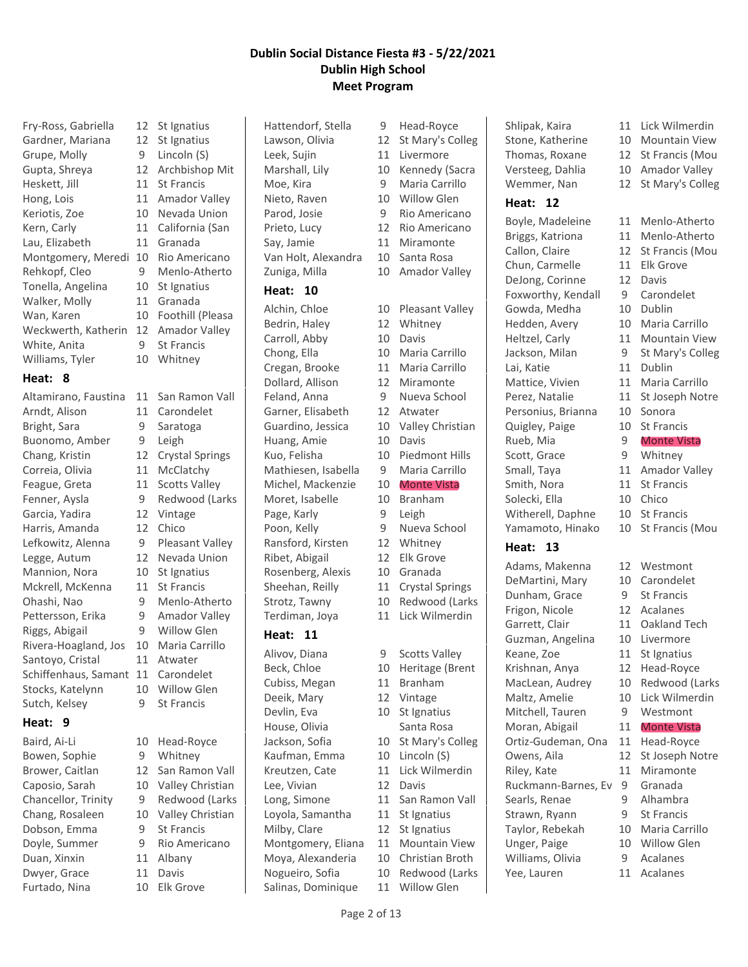| Fry-Ross, Gabriella |  |
|---------------------|--|
| Gardner, Mariana    |  |
| Grupe, Molly        |  |
| Gupta, Shreya       |  |
| Heskett, Jill       |  |
| Hong, Lois          |  |
| Keriotis, Zoe       |  |
| Kern, Carly         |  |
| Lau, Elizabeth      |  |
| Montgomery, Meredi  |  |
| Rehkopf, Cleo       |  |
| Tonella, Angelina   |  |
| Walker, Molly       |  |
| Wan, Karen          |  |
| Weckwerth, Katherin |  |
| White, Anita        |  |
| Williams, Tyler     |  |
|                     |  |

# **Heat: 8**

| Altamirano, Faustina |
|----------------------|
| Arndt, Alison        |
| Bright, Sara         |
| Buonomo, Amber       |
| Chang, Kristin       |
| Correia, Olivia      |
| Feague, Greta        |
| Fenner, Aysla        |
| Garcia, Yadira       |
| Harris, Amanda       |
| Lefkowitz, Alenna    |
| Legge, Autum         |
| Mannion, Nora        |
| Mckrell, McKenna     |
| Ohashi, Nao          |
| Pettersson, Erika    |
| Riggs, Abigail       |
| Rivera-Hoagland, Jos |
| Santoyo, Cristal     |
| Schiffenhaus, Samant |
| Stocks, Katelynn     |
| Sutch, Kelsey        |

# **Heat: 9**

Baird, Ai-Li 10 Head-Royce Dobson, Emma 9 St Francis Duan, Xinxin 11 Albany Dwyer, Grace 11 Davis Furtado, Nina 10 Elk Grove

12 St Ignatius 12 St Ignatius 9 Lincoln (S) 12 Archbishop Mit 11 St Francis 11 Amador Valley 10 Nevada Union 11 California (San 11 Granada 10 Rio Americano 9 Menlo-Atherto 10 St Ignatius 11 Granada 10 Foothill (Pleasa 12 Amador Valley 9 St Francis 10 Whitney 11 San Ramon Vall 11 Carondelet 9 Saratoga 9 Leigh 12 Crystal Springs 11 McClatchy 11 Scotts Valley 9 Redwood (Larks 12 Vintage 12 Chico 9 Pleasant Valley 12 Nevada Union 10 St Ignatius 11 St Francis 9 Menlo-Atherto 9 Amador Valley 9 Willow Glen 10 Maria Carrillo

- 11 Atwater 11 Carondelet 10 Willow Glen
- 9 St Francis
- Brower, Caitlan 12 San Ramon Vall Caposio, Sarah 10 Valley Christian Chancellor, Trinity 9 Redwood (Larks Chang, Rosaleen 10 Valley Christian Doyle, Summer 9 Rio Americano

Hattendorf, Stella 9 Head-Royce

#### **Heat: 10**

Alchin, Chloe 10 Pleasant Valley Bedrin, Haley 12 Whitney Carroll, Abby 10 Davis Chong, Ella 10 Maria Carrillo Cregan, Brooke 11 Maria Carrillo Dollard, Allison 12 Miramonte Feland, Anna 9 Nueva School Garner, Elisabeth 12 Atwater Guardino, Jessica 10 Valley Christian Huang, Amie 10 Davis Kuo, Felisha 10 Piedmont Hills Mathiesen, Isabella 9 Maria Carrillo Michel, Mackenzie 10 Monte Vista Moret, Isabelle 10 Branham Page, Karly 9 Leigh Poon, Kelly 9 Nueva School Ransford, Kirsten 12 Whitney Ribet, Abigail 12 Elk Grove Rosenberg, Alexis 10 Granada Sheehan, Reilly 11 Crystal Springs Strotz, Tawny 10 Redwood (Larks Terdiman, Joya 11 Lick Wilmerdin

# **Heat: 11**

Alivov, Diana 9 Scotts Valley Devlin, Eva 10 St Ignatius House, Olivia Santa Rosa Jackson, Sofia 10 St Mary's Colleg Kaufman, Emma 10 Lincoln (S) Kreutzen, Cate 11 Lick Wilmerdin Lee, Vivian 12 Davis Long, Simone 11 San Ramon Vall Loyola, Samantha 11 St Ignatius Milby, Clare 12 St Ignatius Montgomery, Eliana 11 Mountain View Moya, Alexanderia 10 Christian Broth Nogueiro, Sofia 10 Redwood (Larks Salinas, Dominique 11 Willow Glen

Lawson, Olivia 12 St Mary's Colleg Leek, Sujin 11 Livermore Marshall, Lily 10 Kennedy (Sacra Moe, Kira 9 Maria Carrillo Nieto, Raven 10 Willow Glen Parod, Josie 9 Rio Americano Prieto, Lucy 12 Rio Americano Say, Jamie 11 Miramonte Van Holt, Alexandra 10 Santa Rosa Zuniga, Milla 10 Amador Valley

- 
- 
- 
- 
- 
- 
- 
- 
- 
- 
- 
- 
- 
- 

Stone, Katherine 10 Mountain View Thomas, Roxane 12 St Francis (Mou Versteeg, Dahlia 10 Amador Valley Wemmer, Nan 12 St Mary's Colleg

#### **Heat: 12**

Boyle, Madeleine 11 Menlo-Atherto Briggs, Katriona 11 Menlo-Atherto Callon, Claire 12 St Francis (Mou Chun, Carmelle 11 Elk Grove DeJong, Corinne 12 Davis Foxworthy, Kendall 9 Carondelet Gowda, Medha 10 Dublin Hedden, Avery 10 Maria Carrillo Heltzel, Carly 11 Mountain View Jackson, Milan 9 St Mary's Colleg Lai, Katie 11 Dublin Mattice, Vivien 11 Maria Carrillo Perez, Natalie 11 St Joseph Notre Personius, Brianna 10 Sonora Quigley, Paige 10 St Francis Rueb, Mia 9 Monte Vista Scott, Grace 9 Whitney Small, Taya 11 Amador Valley Smith, Nora 11 St Francis Solecki, Ella 10 Chico Witherell, Daphne 10 St Francis Yamamoto, Hinako 10 St Francis (Mou

### **Heat: 13**

Adams, Makenna 12 Westmont DeMartini, Mary 10 Carondelet Dunham, Grace 9 St Francis Frigon, Nicole 12 Acalanes Garrett, Clair 11 Oakland Tech Guzman, Angelina 10 Livermore Keane, Zoe 11 St Ignatius Krishnan, Anya 12 Head-Royce MacLean, Audrey 10 Redwood (Larks Maltz, Amelie 10 Lick Wilmerdin Mitchell, Tauren 9 Westmont Moran, Abigail 11 Monte Vista Ortiz-Gudeman, Ona 11 Head-Royce Owens, Aila 12 St Joseph Notre Riley, Kate 11 Miramonte Ruckmann-Barnes, Ev 9 Granada Searls, Renae 9 Alhambra Strawn, Ryann 9 St Francis Taylor, Rebekah 10 Maria Carrillo Unger, Paige 10 Willow Glen Williams, Olivia 9 Acalanes Yee, Lauren 11 Acalanes

- Shlipak, Kaira 11 Lick Wilmerdin
	-
	-
	-
	-
	-
	-
	-
	-
	-
	-
	-
	-
	-
	-
	-
	-
	-
	-
	-
	-
	-
	-
	- -
		-
	-
	-
	-
	-
	-
	-
	-

Page 2 of 13

- 
- Bowen, Sophie 9 Whitney
- 
- 
- 
- Beck, Chloe 10 Heritage (Brent Cubiss, Megan 11 Branham Deeik, Mary 12 Vintage
	- - -
			-
			-
			-
			-
			- -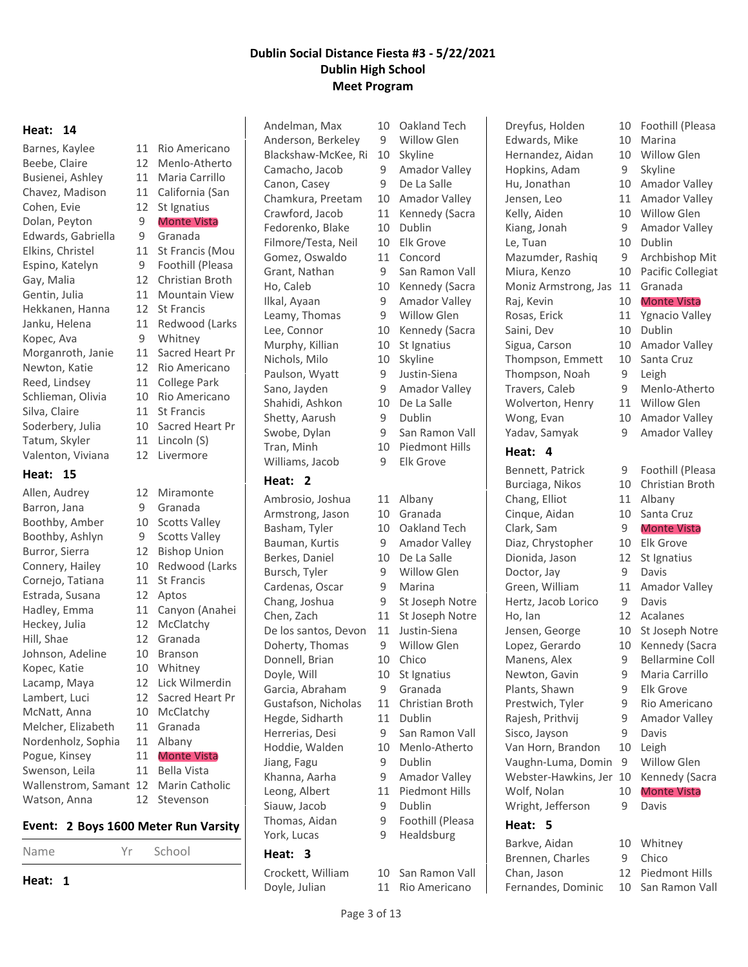#### **Heat: 14**

Barnes, Kaylee 11 Rio Americano Beebe, Claire 12 Menlo-Atherto Busienei, Ashley 11 Maria Carrillo Chavez, Madison 11 California (San Cohen, Evie 12 St Ignatius Dolan, Peyton 9 Monte Vista Edwards, Gabriella 9 Granada Elkins, Christel 11 St Francis (Mou Espino, Katelyn 9 Foothill (Pleasa Gay, Malia 12 Christian Broth Gentin, Julia 11 Mountain View Hekkanen, Hanna 12 St Francis Janku, Helena 11 Redwood (Larks Kopec, Ava 9 Whitney Morganroth, Janie 11 Sacred Heart Pr Newton, Katie 12 Rio Americano Reed, Lindsey 11 College Park Schlieman, Olivia 10 Rio Americano Silva, Claire 11 St Francis Soderbery, Julia 10 Sacred Heart Pr Tatum, Skyler 11 Lincoln (S) Valenton, Viviana 12 Livermore

#### **Heat: 15**

Allen, Audrey 12 Miramonte Barron, Jana 9 Granada Boothby, Amber 10 Scotts Valley Boothby, Ashlyn 9 Scotts Valley Burror, Sierra 12 Bishop Union Connery, Hailey 10 Redwood (Larks Cornejo, Tatiana 11 St Francis Estrada, Susana 12 Aptos Hadley, Emma 11 Canyon (Anahei Heckey, Julia 12 McClatchy Hill, Shae 12 Granada Johnson, Adeline 10 Branson Kopec, Katie 10 Whitney Lacamp, Maya 12 Lick Wilmerdin Lambert, Luci 12 Sacred Heart Pr McNatt, Anna 10 McClatchy Melcher, Elizabeth 11 Granada Nordenholz, Sophia 11 Albany Pogue, Kinsey 11 Monte Vista Swenson, Leila 11 Bella Vista Wallenstrom, Samant 12 Marin Catholic Watson, Anna 12 Stevenson

#### **Event: 2 Boys 1600 Meter Run Varsity**



Andelman, Max 10 Oakland Tech Anderson, Berkeley 9 Willow Glen Blackshaw-McKee, Ri 10 Skyline Canon, Casey 9 De La Salle Fedorenko, Blake 10 Dublin Filmore/Testa, Neil 10 Elk Grove Gomez, Oswaldo 11 Concord Leamy, Thomas 9 Willow Glen Murphy, Killian 10 St Ignatius Nichols, Milo 10 Skyline Paulson, Wyatt 9 Justin-Siena Shahidi, Ashkon 10 De La Salle Shetty, Aarush 9 Dublin Williams, Jacob 9 Elk Grove

#### **Heat: 2**

Ambrosio, Joshua 11 Albany Armstrong, Jason 10 Granada Basham, Tyler 10 Oakland Tech Bauman, Kurtis 9 Amador Valley Berkes, Daniel 10 De La Salle Bursch, Tyler 9 Willow Glen Cardenas, Oscar 9 Marina Chen, Zach 11 St Joseph Notre De los santos, Devon 11 Justin-Siena Doherty, Thomas 9 Willow Glen Donnell, Brian 10 Chico Doyle, Will 10 St Ignatius Garcia, Abraham 9 Granada Gustafson, Nicholas 11 Christian Broth Hegde, Sidharth 11 Dublin Herrerias, Desi 9 San Ramon Vall Hoddie, Walden 10 Menlo-Atherto Jiang, Fagu 9 Dublin Khanna, Aarha 9 Amador Valley Leong, Albert 11 Piedmont Hills Siauw, Jacob 9 Dublin Thomas, Aidan 9 Foothill (Pleasa York, Lucas 9 Healdsburg

#### **Heat: 3**

Doyle, Julian 11 Rio Americano

Camacho, Jacob 9 Amador Valley Chamkura, Preetam 10 Amador Valley Crawford, Jacob 11 Kennedy (Sacra Grant, Nathan 9 San Ramon Vall Ho, Caleb 10 Kennedy (Sacra Ilkal, Ayaan 9 Amador Valley Lee, Connor 10 Kennedy (Sacra Sano, Jayden 9 Amador Valley Swobe, Dylan 9 San Ramon Vall Tran, Minh 10 Piedmont Hills Chang, Joshua 9 St Joseph Notre

- 
- 
- 
- 
- 
- 
- 
- 
- 
- 
- 
- 
- 
- Crockett, William 10 San Ramon Vall

Dreyfus, Holden 10 Foothill (Pleasa Edwards, Mike 10 Marina Hernandez, Aidan 10 Willow Glen Hopkins, Adam 9 Skyline Hu, Jonathan 10 Amador Valley Jensen, Leo 11 Amador Valley Kelly, Aiden 10 Willow Glen Kiang, Jonah 9 Amador Valley Le, Tuan 10 Dublin Mazumder, Rashiq 9 Archbishop Mit Miura, Kenzo 10 Pacific Collegiat Moniz Armstrong, Jas 11 Granada Raj, Kevin 10 Monte Vista Rosas, Erick 11 Ygnacio Valley Saini, Dev 10 Dublin Sigua, Carson 10 Amador Valley Thompson, Emmett 10 Santa Cruz Thompson, Noah 9 Leigh Travers, Caleb 9 Menlo-Atherto Wolverton, Henry 11 Willow Glen Wong, Evan 10 Amador Valley

#### **Heat: 4**

Bennett, Patrick 9 Foothill (Pleasa Burciaga, Nikos 10 Christian Broth Chang, Elliot 11 Albany Cinque, Aidan 10 Santa Cruz Clark, Sam 9 Monte Vista Diaz, Chrystopher 10 Elk Grove Dionida, Jason 12 St Ignatius Doctor, Jay 9 Davis Green, William 11 Amador Valley Hertz, Jacob Lorico 9 Davis Ho, Ian 12 Acalanes Jensen, George 10 St Joseph Notre Lopez, Gerardo 10 Kennedy (Sacra Manens, Alex 9 Bellarmine Coll Newton, Gavin 9 Maria Carrillo Plants, Shawn 9 Elk Grove Prestwich, Tyler 9 Rio Americano Rajesh, Prithvij 9 Amador Valley Sisco, Jayson 9 Davis Van Horn, Brandon 10 Leigh Vaughn-Luma, Domin 9 Willow Glen Webster-Hawkins, Jer 10 Kennedy (Sacra Wolf, Nolan 10 Monte Vista Wright, Jefferson 9 Davis

### **Heat: 5**

Barkve, Aidan 10 Whitney Brennen, Charles 9 Chico Chan, Jason 12 Piedmont Hills Fernandes, Dominic 10 San Ramon Vall

- 
- 
- 
- Yadav, Samyak 9 Amador Valley
	-
	-
	-
	-
	-
	-
	-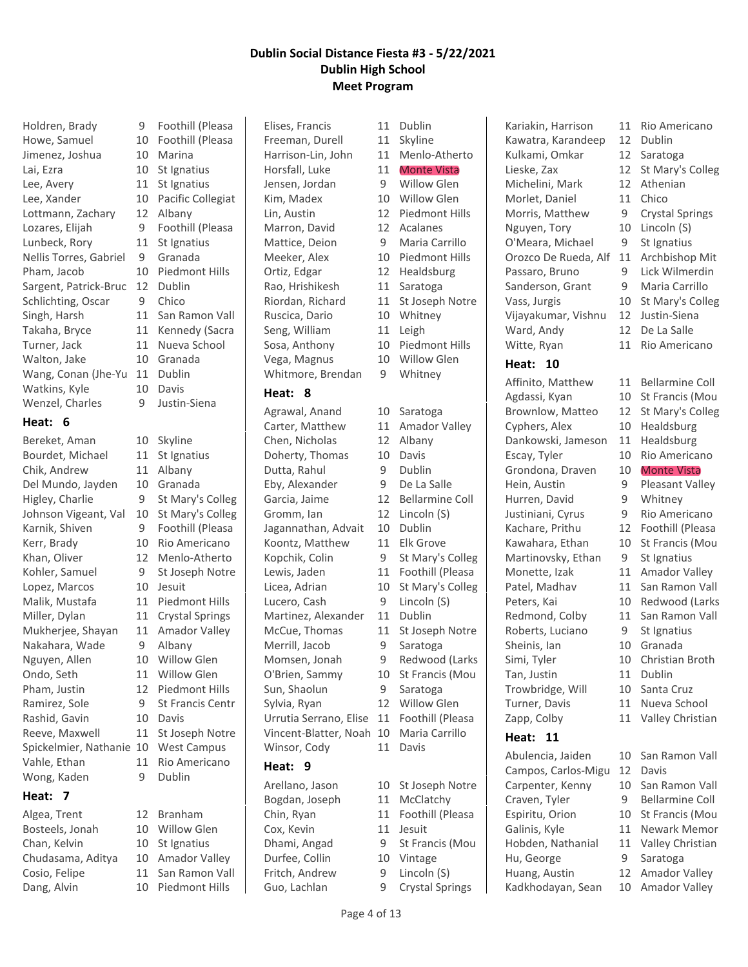Howe, Samuel 10 Foothill (Pleasa Jimenez, Joshua 10 Marina Lai, Ezra 10 St Ignatius Lee, Avery 11 St Ignatius Lee, Xander 10 Pacific Collegiat Lottmann, Zachary 12 Albany Lozares, Elijah 9 Foothill (Pleasa Lunbeck, Rory 11 St Ignatius Nellis Torres, Gabriel 9 Granada Pham, Jacob 10 Piedmont Hills Sargent, Patrick-Bruc 12 Dublin Schlichting, Oscar 9 Chico Singh, Harsh 11 San Ramon Vall Takaha, Bryce 11 Kennedy (Sacra Turner, Jack 11 Nueva School Walton, Jake 10 Granada Wang, Conan (Jhe-Yu 11 Dublin Watkins, Kyle 10 Davis Wenzel, Charles 9 Justin-Siena **Heat: 6** Bereket, Aman 10 Skyline

Bourdet, Michael 11 St Ignatius Chik, Andrew 11 Albany Del Mundo, Jayden 10 Granada Higley, Charlie 9 St Mary's Colleg Johnson Vigeant, Val 10 St Mary's Colleg Karnik, Shiven 9 Foothill (Pleasa Kerr, Brady 10 Rio Americano Khan, Oliver 12 Menlo-Atherto Kohler, Samuel 9 St Joseph Notre Lopez, Marcos 10 Jesuit Malik, Mustafa 11 Piedmont Hills Miller, Dylan 11 Crystal Springs Mukherjee, Shayan 11 Amador Valley Nakahara, Wade 9 Albany Nguyen, Allen 10 Willow Glen Ondo, Seth 11 Willow Glen Pham, Justin 12 Piedmont Hills Ramirez, Sole 9 St Francis Centr Rashid, Gavin 10 Davis Reeve, Maxwell 11 St Joseph Notre Spickelmier, Nathanie 10 West Campus Vahle, Ethan 11 Rio Americano Wong, Kaden 9 Dublin

#### **Heat: 7**

Algea, Trent 12 Branham Bosteels, Jonah 10 Willow Glen Chan, Kelvin 10 St Ignatius Chudasama, Aditya 10 Amador Valley Cosio, Felipe 11 San Ramon Vall Dang, Alvin 10 Piedmont Hills

Holdren, Brady 9 Foothill (Pleasa

- 
- 
- 
- 

Elises, Francis 11 Dublin Freeman, Durell 11 Skyline Harrison-Lin, John 11 Menlo-Atherto Horsfall, Luke 11 Monte Vista Jensen, Jordan 9 Willow Glen Kim, Madex 10 Willow Glen Lin, Austin 12 Piedmont Hills Marron, David 12 Acalanes Mattice, Deion 9 Maria Carrillo Meeker, Alex 10 Piedmont Hills Ortiz, Edgar 12 Healdsburg Rao, Hrishikesh 11 Saratoga Riordan, Richard 11 St Joseph Notre Ruscica, Dario 10 Whitney Seng, William 11 Leigh Sosa, Anthony 10 Piedmont Hills Vega, Magnus 10 Willow Glen Whitmore, Brendan 9 Whitney

#### **Heat: 8**

Agrawal, Anand 10 Saratoga Carter, Matthew 11 Amador Valley Chen, Nicholas 12 Albany Doherty, Thomas 10 Davis Dutta, Rahul 9 Dublin Eby, Alexander 9 De La Salle Garcia, Jaime 12 Bellarmine Coll Gromm, Ian 12 Lincoln (S) Jagannathan, Advait 10 Dublin Koontz, Matthew 11 Elk Grove Kopchik, Colin 9 St Mary's Colleg Lewis, Jaden 11 Foothill (Pleasa Licea, Adrian 10 St Mary's Colleg Lucero, Cash 9 Lincoln (S) Martinez, Alexander 11 Dublin McCue, Thomas 11 St Joseph Notre Merrill, Jacob 9 Saratoga Momsen, Jonah 9 Redwood (Larks O'Brien, Sammy 10 St Francis (Mou Sun, Shaolun 9 Saratoga Sylvia, Ryan 12 Willow Glen Urrutia Serrano, Elise 11 Foothill (Pleasa Vincent-Blatter, Noah 10 Maria Carrillo Winsor, Cody 11 Davis **Heat: 9** Arellano, Jason 10 St Joseph Notre Bogdan, Joseph 11 McClatchy Chin, Ryan 11 Foothill (Pleasa Cox, Kevin 11 Jesuit

Dhami, Angad 9 St Francis (Mou Durfee, Collin 10 Vintage Fritch, Andrew 9 Lincoln (S) Guo, Lachlan 9 Crystal Springs

Kariakin, Harrison 11 Rio Americano Kawatra, Karandeep 12 Dublin Kulkami, Omkar 12 Saratoga Lieske, Zax 12 St Mary's Colleg Michelini, Mark 12 Athenian Morlet, Daniel 11 Chico Morris, Matthew 9 Crystal Springs Nguyen, Tory 10 Lincoln (S) O'Meara, Michael 9 St Ignatius Orozco De Rueda, Alf 11 Archbishop Mit Passaro, Bruno 9 Lick Wilmerdin Sanderson, Grant 9 Maria Carrillo Vass, Jurgis 10 St Mary's Colleg Vijayakumar, Vishnu 12 Justin-Siena Ward, Andy 12 De La Salle

#### **Heat: 10**

Affinito, Matthew 11 Bellarmine Coll Agdassi, Kyan 10 St Francis (Mou Brownlow, Matteo 12 St Mary's Colleg Cyphers, Alex 10 Healdsburg Dankowski, Jameson 11 Healdsburg Escay, Tyler 10 Rio Americano Grondona, Draven 10 Monte Vista Hein, Austin 9 Pleasant Valley Hurren, David 9 Whitney Justiniani, Cyrus 9 Rio Americano Kachare, Prithu 12 Foothill (Pleasa Kawahara, Ethan 10 St Francis (Mou Martinovsky, Ethan 9 St Ignatius Monette, Izak 11 Amador Valley Patel, Madhav 11 San Ramon Vall Peters, Kai 10 Redwood (Larks Redmond, Colby 11 San Ramon Vall Roberts, Luciano 9 St Ignatius Sheinis, Ian 10 Granada Simi, Tyler 10 Christian Broth Tan, Justin 11 Dublin Trowbridge, Will 10 Santa Cruz Turner, Davis 11 Nueva School Zapp, Colby 11 Valley Christian

#### **Heat: 11**

Abulencia, Jaiden 10 San Ramon Vall Campos, Carlos-Migu 12 Davis Carpenter, Kenny 10 San Ramon Vall Craven, Tyler 9 Bellarmine Coll Espiritu, Orion 10 St Francis (Mou Galinis, Kyle 11 Newark Memor Hobden, Nathanial 11 Valley Christian Hu, George 9 Saratoga Huang, Austin 12 Amador Valley Kadkhodayan, Sean 10 Amador Valley

- 
- Witte, Ryan 11 Rio Americano
	-
	-
	-
	-
	-
	-

- 
- 
- 
- 
- 
- 
- 
- 
- 
- 
- 
- 
- 
- 
- 
- 
- 
- 
- 
- 
- 
- 
- 
- 
- 
-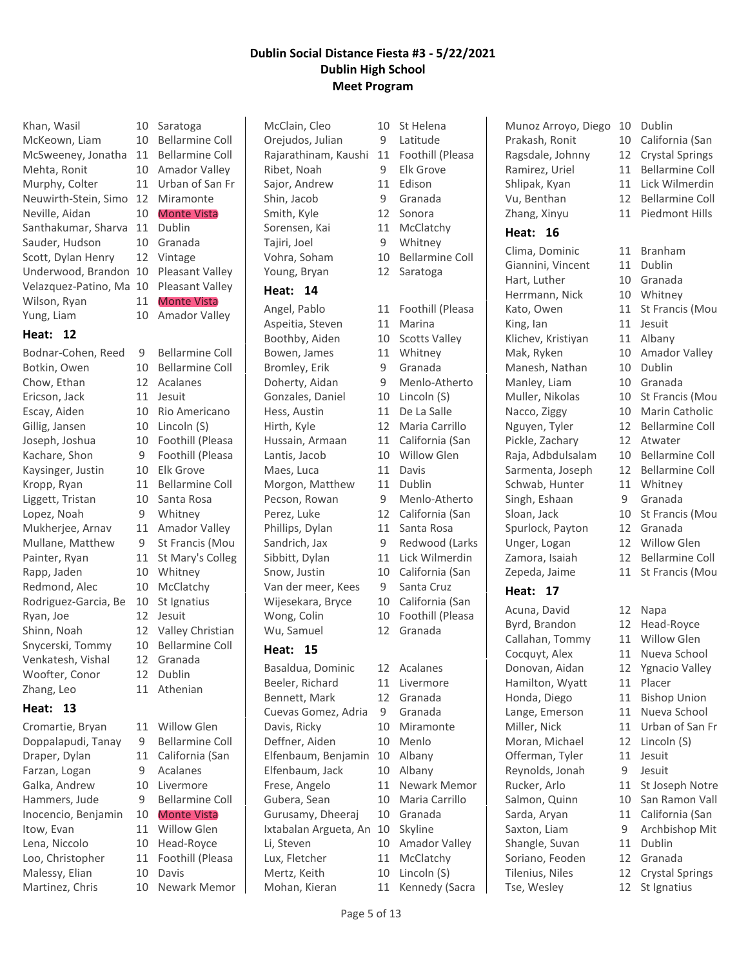| Khan, Wasil          | 10 |
|----------------------|----|
| McKeown, Liam        | 10 |
| McSweeney, Jonatha   | 11 |
| Mehta, Ronit         | 10 |
| Murphy, Colter       | 11 |
| Neuwirth-Stein, Simo | 12 |
| Neville, Aidan       | 10 |
| Santhakumar, Sharva  | 11 |
| Sauder, Hudson       | 10 |
| Scott, Dylan Henry   | 12 |
| Underwood, Brandon   | 10 |
| Velazquez-Patino, Ma | 10 |
| Wilson, Ryan         | 11 |
| Yung, Liam           | 10 |

#### **Heat: 12**

Botkin, Owen 10 Bellarmine Coll Chow, Ethan 12 Acalanes Ericson, Jack 11 Jesuit Escay, Aiden 10 Rio Americano Gillig, Jansen 10 Lincoln (S) Joseph, Joshua 10 Foothill (Pleasa Kachare, Shon 9 Foothill (Pleasa Kaysinger, Justin 10 Elk Grove Kropp, Ryan 11 Bellarmine Coll Liggett, Tristan 10 Santa Rosa Lopez, Noah 9 Whitney Mukherjee, Arnav 11 Amador Valley Mullane, Matthew 9 St Francis (Mou Painter, Ryan 11 St Mary's Colleg Rapp, Jaden 10 Whitney Redmond, Alec 10 McClatchy Rodriguez-Garcia, Be 10 St Ignatius Ryan, Joe 12 Jesuit Shinn, Noah 12 Valley Christian Snycerski, Tommy 10 Bellarmine Coll Venkatesh, Vishal 12 Granada Woofter, Conor 12 Dublin Zhang, Leo 11 Athenian

# **Heat: 13**

Cromartie, Bryan 11 Willow Glen Doppalapudi, Tanay 9 Bellarmine Coll Draper, Dylan 11 California (San Farzan, Logan 9 Acalanes Galka, Andrew 10 Livermore Hammers, Jude 9 Bellarmine Coll Inocencio, Benjamin 10 Monte Vista Itow, Evan 11 Willow Glen Lena, Niccolo 10 Head-Royce Loo, Christopher 11 Foothill (Pleasa Malessy, Elian 10 Davis

Saratoga Bellarmine Coll Bellarmine Coll Amador Valley Urban of San Fr Miramonte Monte Vista Dublin Granada Vintage Pleasant Valley Pleasant Valley Monte Vista Amador Valley

Bodnar-Cohen, Reed 9 Bellarmine Coll

Martinez, Chris 10 Newark Memor

McClain, Cleo 10 St Helena Orejudos, Julian 9 Latitude Ribet, Noah 9 Elk Grove Sajor, Andrew 11 Edison Shin, Jacob 9 Granada Smith, Kyle 12 Sonora Sorensen, Kai 11 McClatchy Tajiri, Joel 9 Whitney Young, Bryan 12 Saratoga

### **Heat: 14**

Aspeitia, Steven 11 Marina Boothby, Aiden 10 Scotts Valley Bowen, James 11 Whitney Bromley, Erik 9 Granada Gonzales, Daniel 10 Lincoln (S) Hess, Austin 11 De La Salle Lantis, Jacob 10 Willow Glen Maes, Luca 11 Davis Morgon, Matthew 11 Dublin Phillips, Dylan 11 Santa Rosa Van der meer, Kees 9 Santa Cruz

### **Heat: 15**

Basaldua, Dominic 12 Acalanes Beeler, Richard 11 Livermore Bennett, Mark 12 Granada Cuevas Gomez, Adria 9 Granada Davis, Ricky 10 Miramonte Deffner, Aiden 10 Menlo Elfenbaum, Benjamin 10 Albany Elfenbaum, Jack 10 Albany Frese, Angelo 11 Newark Memor Gubera, Sean 10 Maria Carrillo Gurusamy, Dheeraj 10 Granada Ixtabalan Argueta, An 10 Skyline Li, Steven 10 Amador Valley Lux, Fletcher 11 McClatchy Mertz, Keith 10 Lincoln (S) Mohan, Kieran 11 Kennedy (Sacra

Rajarathinam, Kaushi 11 Foothill (Pleasa Vohra, Soham 10 Bellarmine Coll Angel, Pablo 11 Foothill (Pleasa Doherty, Aidan 9 Menlo-Atherto Hirth, Kyle 12 Maria Carrillo Hussain, Armaan 11 California (San Pecson, Rowan 9 Menlo-Atherto Perez, Luke 12 California (San Sandrich, Jax 9 Redwood (Larks Sibbitt, Dylan 11 Lick Wilmerdin Snow, Justin 10 California (San Wijesekara, Bryce 10 California (San Wong, Colin 10 Foothill (Pleasa Wu, Samuel 12 Granada

- -

Munoz Arroyo, Diego 10 Dublin Prakash, Ronit 10 California (San Ragsdale, Johnny 12 Crystal Springs Ramirez, Uriel 11 Bellarmine Coll Shlipak, Kyan 11 Lick Wilmerdin Vu, Benthan 12 Bellarmine Coll Zhang, Xinyu 11 Piedmont Hills

# **Heat: 16**

Clima, Dominic 11 Branham Giannini, Vincent 11 Dublin Hart, Luther 10 Granada Herrmann, Nick 10 Whitney Kato, Owen 11 St Francis (Mou King, Ian 11 Jesuit Klichev, Kristiyan 11 Albany Mak, Ryken 10 Amador Valley Manesh, Nathan 10 Dublin Manley, Liam 10 Granada Muller, Nikolas 10 St Francis (Mou Nacco, Ziggy 10 Marin Catholic Nguyen, Tyler 12 Bellarmine Coll Pickle, Zachary 12 Atwater Raja, Adbdulsalam 10 Bellarmine Coll Sarmenta, Joseph 12 Bellarmine Coll Schwab, Hunter 11 Whitney Singh, Eshaan 9 Granada Sloan, Jack 10 St Francis (Mou Spurlock, Payton 12 Granada Unger, Logan 12 Willow Glen Zamora, Isaiah 12 Bellarmine Coll Zepeda, Jaime 11 St Francis (Mou

# **Heat: 17**

Acuna, David 12 Napa Byrd, Brandon 12 Head-Royce Callahan, Tommy 11 Willow Glen Hamilton, Wyatt 11 Placer Moran, Michael 12 Lincoln (S) Offerman, Tyler 11 Jesuit Reynolds, Jonah 9 Jesuit Shangle, Suvan 11 Dublin Soriano, Feoden 12 Granada Tilenius, Niles 12 Crystal Springs Tse, Wesley 12 St Ignatius

- 
- Cocquyt, Alex 11 Nueva School Donovan, Aidan 12 Ygnacio Valley Honda, Diego 11 Bishop Union Lange, Emerson 11 Nueva School Miller, Nick 11 Urban of San Fr Rucker, Arlo 11 St Joseph Notre Salmon, Quinn 10 San Ramon Vall Sarda, Aryan 11 California (San Saxton, Liam 9 Archbishop Mit
	-
	-
	-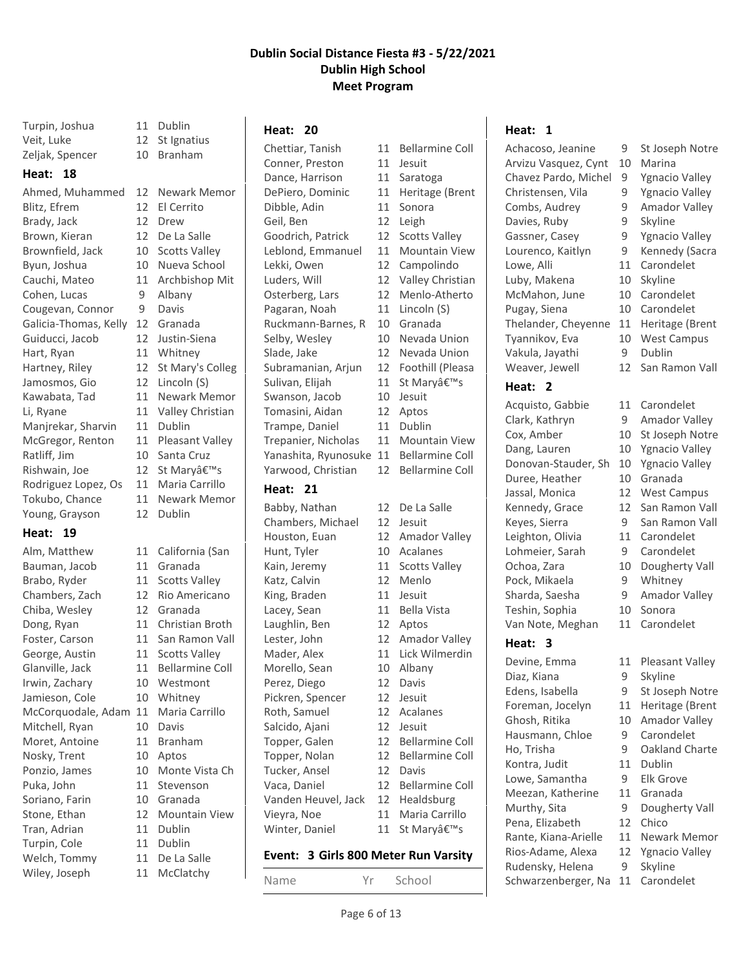| Veit, Luke            | 12 |
|-----------------------|----|
| Zeljak, Spencer       | 10 |
| Heat:<br>18           |    |
| Ahmed, Muhammed       | 12 |
| Blitz, Efrem          | 12 |
| Brady, Jack           | 12 |
| Brown, Kieran         | 12 |
| Brownfield, Jack      | 10 |
| Byun, Joshua          | 10 |
| Cauchi, Mateo         | 11 |
| Cohen, Lucas          | 9  |
| Cougevan, Connor      | 9  |
| Galicia-Thomas, Kelly | 12 |
| Guiducci, Jacob       | 12 |
| Hart, Ryan            | 11 |
| Hartney, Riley        | 12 |
| Jamosmos, Gio         | 12 |
| Kawabata, Tad         | 11 |
| Li, Ryane             | 11 |
| Manjrekar, Sharvin    | 11 |
| McGregor, Renton      | 11 |
| Ratliff, Jim          | 10 |
| Rishwain, Joe         | 12 |
| Rodriguez Lopez, Os   | 11 |
| Tokubo, Chance        | 11 |
| Young, Grayson        | 12 |
| $II = 10$             |    |

# **Heat: 19**

| Alm, Matthew       | 11 | California (        |
|--------------------|----|---------------------|
| Bauman, Jacob      | 11 | Granada             |
| Brabo, Ryder       | 11 | <b>Scotts Valle</b> |
| Chambers, Zach     | 12 | <b>Rio Americ</b>   |
| Chiba, Wesley      | 12 | Granada             |
| Dong, Ryan         | 11 | Christian B         |
| Foster, Carson     | 11 | San Ramor           |
| George, Austin     | 11 | Scotts Valle        |
| Glanville, Jack    | 11 | Bellarmine          |
| Irwin, Zachary     | 10 | Westmont            |
| Jamieson, Cole     | 10 | Whitney             |
| McCorquodale, Adam | 11 | Maria Carr          |
| Mitchell, Ryan     | 10 | Davis               |
| Moret, Antoine     | 11 | <b>Branham</b>      |
| Nosky, Trent       | 10 | Aptos               |
| Ponzio, James      | 10 | <b>Monte Vist</b>   |
| Puka, John         | 11 | Stevenson           |
| Soriano, Farin     | 10 | Granada             |
| Stone, Ethan       | 12 | Mountain            |
| Tran, Adrian       | 11 | Dublin              |
| Turpin, Cole       | 11 | Dublin              |
| Welch, Tommy       | 11 | De La Salle         |
| Wiley, Joseph      | 11 | McClatchy           |
|                    |    |                     |

Turpin, Joshua 11 Dublin St Ignatius **Branham** Newark Memor

El Cerrito Drew De La Salle Scotts Valley Nueva School Archbishop Mit Albany Davis Granada Justin-Siena Whitney St Mary's Colleg Lincoln (S) **Newark Memor** Valley Christian Dublin Pleasant Valley Santa Cruz St Mary's Maria Carrillo Newark Memor Dublin

rnia (San s Valley mericano tian Broth amon Vall s Valley rmine Coll mont a Carrillo te Vista Ch ntain View atchy

#### Chettiar, Tanish 11 Bellarmine Coll Conner, Preston 11 Jesuit Dance, Harrison 11 Saratoga DePiero, Dominic 11 Heritage (Brent Dibble, Adin 11 Sonora Geil, Ben 12 Leigh Goodrich, Patrick 12 Scotts Valley Leblond, Emmanuel 11 Mountain View Lekki, Owen 12 Campolindo Luders, Will 12 Valley Christian Osterberg, Lars 12 Menlo-Atherto Pagaran, Noah 11 Lincoln (S) Ruckmann-Barnes, R 10 Granada Selby, Wesley 10 Nevada Union Slade, Jake 12 Nevada Union Subramanian, Arjun 12 Foothill (Pleasa Sulivan, Elijah 11 St Mary's Swanson, Jacob 10 Jesuit Tomasini, Aidan 12 Aptos Trampe, Daniel 11 Dublin Trepanier, Nicholas 11 Mountain View Yanashita, Ryunosuke 11 Bellarmine Coll Yarwood, Christian 12 Bellarmine Coll

**Heat: 20**

### **Heat: 21**

Babby, Nathan 12 De La Salle Chambers, Michael 12 Jesuit Houston, Euan 12 Amador Valley Hunt, Tyler 10 Acalanes Kain, Jeremy 11 Scotts Valley Katz, Calvin 12 Menlo King, Braden 11 Jesuit Lacey, Sean 11 Bella Vista Laughlin, Ben 12 Aptos Lester, John 12 Amador Valley Mader, Alex 11 Lick Wilmerdin Morello, Sean 10 Albany Perez, Diego 12 Davis Pickren, Spencer 12 Jesuit Roth, Samuel 12 Acalanes Salcido, Ajani 12 Jesuit Topper, Galen 12 Bellarmine Coll Topper, Nolan 12 Bellarmine Coll Tucker, Ansel 12 Davis Vaca, Daniel 12 Bellarmine Coll Vanden Heuvel, Jack 12 Healdsburg Vieyra, Noe 11 Maria Carrillo Winter, Daniel 11 St Mary's

### Name Yr School

- 
- 

# **Event: 3 Girls 800 Meter Run Varsity**

Arvizu Vasquez, Cynt 10 Marina Chavez Pardo, Michel 9 Ygnacio Valley

Achacoso, Jeanine 9 St Joseph Notre

**Heat: 1**

**Heat: 2**

**Heat: 3**

- Christensen, Vila 9 Ygnacio Valley
- Combs, Audrey 9 Amador Valley
- Davies, Ruby 9 Skyline
- Gassner, Casey 9 Ygnacio Valley
- Lourenco, Kaitlyn 9 Kennedy (Sacra Lowe, Alli 11 Carondelet
- Luby, Makena 10 Skyline
- McMahon, June 10 Carondelet
- Pugay, Siena 10 Carondelet
- Thelander, Cheyenne 11 Heritage (Brent
- Tyannikov, Eva 10 West Campus
- Vakula, Jayathi 9 Dublin
- Weaver, Jewell 12 San Ramon Vall
- Acquisto, Gabbie 11 Carondelet
- Clark, Kathryn 9 Amador Valley
- Cox, Amber 10 St Joseph Notre
- Dang, Lauren 10 Ygnacio Valley
- Donovan-Stauder, Sh 10 Ygnacio Valley
- Duree, Heather 10 Granada
- Jassal, Monica 12 West Campus
- Kennedy, Grace 12 San Ramon Vall Keyes, Sierra 9 San Ramon Vall
- Leighton, Olivia 11 Carondelet
- Lohmeier, Sarah 9 Carondelet
- Ochoa, Zara 10 Dougherty Vall
- Pock, Mikaela 9 Whitney
- Sharda, Saesha 9 Amador Valley
- Teshin, Sophia 10 Sonora
- Van Note, Meghan 11 Carondelet
- Devine, Emma 11 Pleasant Valley
- Diaz, Kiana 9 Skyline
- Edens, Isabella 9 St Joseph Notre
- Foreman, Jocelyn 11 Heritage (Brent
- Ghosh, Ritika 10 Amador Valley
- Hausmann, Chloe 9 Carondelet
- Ho, Trisha 9 Oakland Charte
- Kontra, Judit 11 Dublin
- Lowe, Samantha 9 Elk Grove
- Meezan, Katherine 11 Granada
- Murthy, Sita 9 Dougherty Vall
- Pena, Elizabeth 12 Chico
- Rante, Kiana-Arielle 11 Newark Memor
- Rios-Adame, Alexa 12 Ygnacio Valley Rudensky, Helena 9 Skyline
- Schwarzenberger, Na 11 Carondelet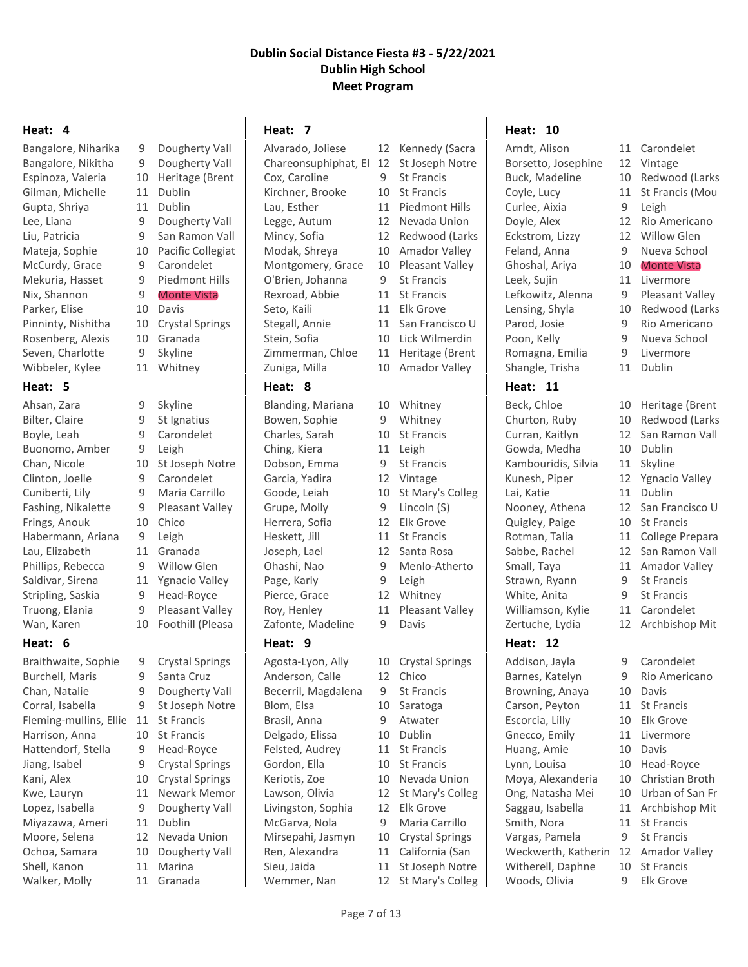#### **Heat: 4**

Gilman, Michelle 11 Dublin Gupta, Shriya 11 Dublin McCurdy, Grace 9 Carondelet Nix, Shannon 9 Monte Vista Parker, Elise 10 Davis Rosenberg, Alexis 10 Granada Seven, Charlotte 9 Skyline Wibbeler, Kylee 11 Whitney

### **Heat: 5**

Ahsan, Zara (1984) 9 Skyline Bilter, Claire 9 St Ignatius Boyle, Leah 9 Carondelet Buonomo, Amber 9 Leigh Clinton, Joelle 9 Carondelet Cuniberti, Lily 9 Maria Carrillo Fashing, Nikalette 9 Pleasant Valley Frings, Anouk 10 Chico Habermann, Ariana 9 Leigh Lau, Elizabeth 11 Granada Phillips, Rebecca 9 Willow Glen Saldivar, Sirena 11 Ygnacio Valley Stripling, Saskia 9 Head-Royce

# **Heat: 6**

Braithwaite, Sophie 9 Crystal Springs Burchell, Maris 9 Santa Cruz Chan, Natalie 9 Dougherty Vall Corral, Isabella 9 St Joseph Notre Fleming-mullins, Ellie 11 St Francis Harrison, Anna 10 St Francis Hattendorf, Stella 9 Head-Royce Jiang, Isabel 9 Crystal Springs Kani, Alex 10 Crystal Springs Kwe, Lauryn 11 Newark Memor Lopez, Isabella 9 Dougherty Vall Miyazawa, Ameri 11 Dublin Moore, Selena 12 Nevada Union Ochoa, Samara 10 Dougherty Vall Shell, Kanon 11 Marina Walker, Molly 11 Granada

Bangalore, Niharika 9 Dougherty Vall Bangalore, Nikitha 9 Dougherty Vall Espinoza, Valeria 10 Heritage (Brent Lee, Liana 9 Dougherty Vall Liu, Patricia 9 San Ramon Vall Mateja, Sophie 10 Pacific Collegiat Mekuria, Hasset 9 Piedmont Hills Pinninty, Nishitha 10 Crystal Springs Chan, Nicole 10 St Joseph Notre

- 
- 
- 
- 
- 
- 
- 
- Truong, Elania 9 Pleasant Valley
- Wan, Karen 10 Foothill (Pleasa
	-

# **Heat: 7**

Alvarado, Joliese 12 Kennedy (Sacra Chareonsuphiphat, El 12 St Joseph Notre Cox, Caroline 9 St Francis Kirchner, Brooke 10 St Francis Lau, Esther 11 Piedmont Hills Legge, Autum 12 Nevada Union Mincy, Sofia 12 Redwood (Larks Modak, Shreya 10 Amador Valley Montgomery, Grace 10 Pleasant Valley O'Brien, Johanna 9 St Francis Rexroad, Abbie 11 St Francis Seto, Kaili 11 Elk Grove Stegall, Annie 11 San Francisco U Stein, Sofia 10 Lick Wilmerdin Zimmerman, Chloe 11 Heritage (Brent Zuniga, Milla 10 Amador Valley

### **Heat: 8**

Blanding, Mariana 10 Whitney Bowen, Sophie 9 Whitney Charles, Sarah 10 St Francis Ching, Kiera 11 Leigh Dobson, Emma 9 St Francis Garcia, Yadira 12 Vintage Goode, Leiah 10 St Mary's Colleg Grupe, Molly 9 Lincoln (S) Herrera, Sofia 12 Elk Grove Heskett, Jill 11 St Francis Joseph, Lael 12 Santa Rosa Ohashi, Nao 9 Menlo-Atherto Page, Karly 9 Leigh Pierce, Grace 12 Whitney Roy, Henley 11 Pleasant Valley Zafonte, Madeline 9 Davis

Agosta-Lyon, Ally 10 Crystal Springs Anderson, Calle 12 Chico Becerril, Magdalena 9 St Francis Blom, Elsa 10 Saratoga Brasil, Anna 9 Atwater Delgado, Elissa 10 Dublin Felsted, Audrey 11 St Francis Gordon, Ella 10 St Francis Keriotis, Zoe 10 Nevada Union Lawson, Olivia 12 St Mary's Colleg Livingston, Sophia 12 Elk Grove McGarva, Nola 9 Maria Carrillo Mirsepahi, Jasmyn 10 Crystal Springs Ren, Alexandra 11 California (San Sieu, Jaida 11 St Joseph Notre

- 
- 
- 
- 

Wemmer, Nan 12 St Mary's Colleg

# **Heat: 10**

Borsetto, Josephine 12 Vintage Buck, Madeline 10 Redwood (Larks Coyle, Lucy 11 St Francis (Mou Curlee, Aixia 9 Leigh Doyle, Alex 12 Rio Americano Eckstrom, Lizzy 12 Willow Glen Feland, Anna 9 Nueva School Ghoshal, Ariya 10 Monte Vista Leek, Sujin 11 Livermore Lefkowitz, Alenna 9 Pleasant Valley Lensing, Shyla 10 Redwood (Larks Parod, Josie 9 Rio Americano Poon, Kelly 9 Nueva School Romagna, Emilia 9 Livermore Shangle, Trisha 11 Dublin

# **Heat: 11**

Beck, Chloe 10 Heritage (Brent Churton, Ruby 10 Redwood (Larks Curran, Kaitlyn 12 San Ramon Vall Gowda, Medha 10 Dublin Kambouridis, Silvia 11 Skyline Kunesh, Piper 12 Ygnacio Valley Lai, Katie 11 Dublin Nooney, Athena 12 San Francisco U Quigley, Paige 10 St Francis Rotman, Talia 11 College Prepara Sabbe, Rachel 12 San Ramon Vall Small, Taya 11 Amador Valley Strawn, Ryann 9 St Francis White, Anita 9 St Francis Williamson, Kylie 11 Carondelet Zertuche, Lydia 12 Archbishop Mit

# **Heat: 12**

Addison, Jayla 9 Carondelet Barnes, Katelyn 9 Rio Americano Browning, Anaya 10 Davis Carson, Peyton 11 St Francis Escorcia, Lilly 10 Elk Grove Gnecco, Emily 11 Livermore Huang, Amie 10 Davis Lynn, Louisa 10 Head-Royce Moya, Alexanderia 10 Christian Broth Ong, Natasha Mei 10 Urban of San Fr Saggau, Isabella 11 Archbishop Mit Smith, Nora 11 St Francis Vargas, Pamela 9 St Francis Weckwerth, Katherin 12 Amador Valley Witherell, Daphne 10 St Francis Woods, Olivia 9 Elk Grove

# Arndt, Alison 11 Carondelet

- 
- 
- 
- 
- 
- 
- 

- 
- 
- 
- 
- 
- 
- 
- 
- 
- 
- 
- 
- 
- 
- 
- 
- 
- 
- 
- 
- 
- 
- 
- 
- 
- 
- 
- 
- 
- 
- -
- 
- 
- 
- **Heat: 9**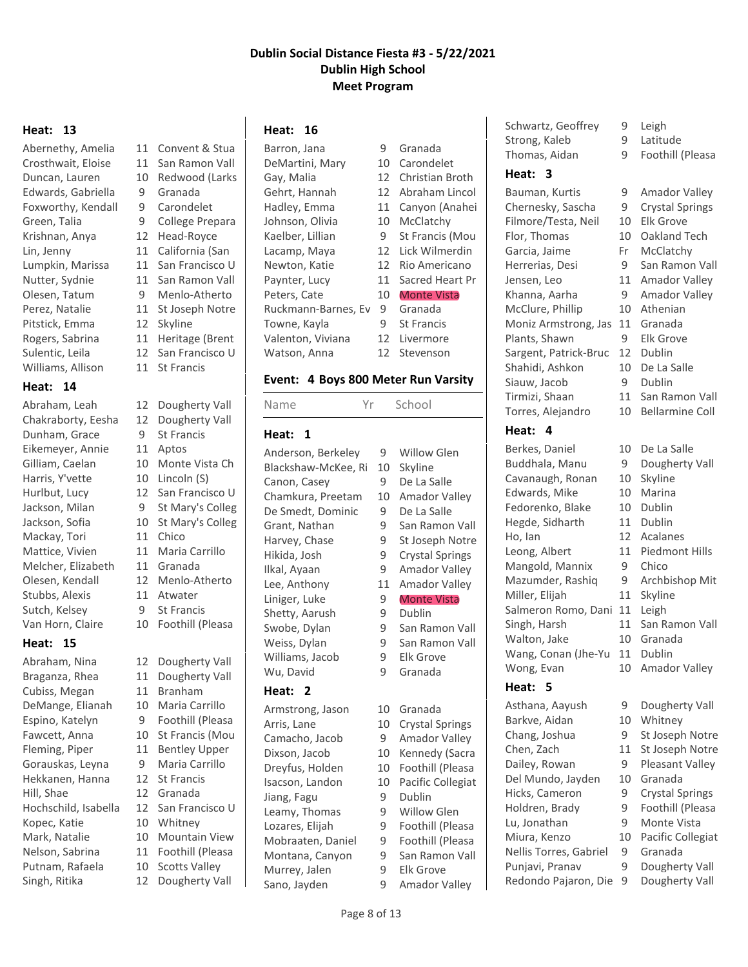#### **Heat: 13**

Edwards, Gabriella 9 Granada Foxworthy, Kendall 9 Carondelet Krishnan, Anya 12 Head-Royce Pitstick, Emma 12 Skyline Williams, Allison 11 St Francis

### **Heat: 14**

Dunham, Grace 9 St Francis Eikemeyer, Annie 11 Aptos Harris, Y'vette 10 Lincoln (S) Mackay, Tori 11 Chico Mattice, Vivien 11 Maria Carrillo Melcher, Elizabeth 11 Granada Stubbs, Alexis 11 Atwater Sutch, Kelsey 9 St Francis

# **Heat: 15**

Abraham, Nina 12 Dougherty Vall Braganza, Rhea 11 Dougherty Vall Cubiss, Megan 11 Branham DeMange, Elianah 10 Maria Carrillo Espino, Katelyn 9 Foothill (Pleasa Fleming, Piper 11 Bentley Upper Gorauskas, Leyna 9 Maria Carrillo Hekkanen, Hanna 12 St Francis Hill, Shae 12 Granada Hochschild, Isabella 12 San Francisco U Kopec, Katie 10 Whitney Mark, Natalie 10 Mountain View Nelson, Sabrina 11 Foothill (Pleasa Putnam, Rafaela 10 Scotts Valley Singh, Ritika 12 Dougherty Vall

Abernethy, Amelia 11 Convent & Stua Crosthwait, Eloise 11 San Ramon Vall Duncan, Lauren 10 Redwood (Larks Green, Talia 9 College Prepara Lin, Jenny 11 California (San Lumpkin, Marissa 11 San Francisco U Nutter, Sydnie 11 San Ramon Vall Olesen, Tatum 9 Menlo-Atherto Perez, Natalie 11 St Joseph Notre Rogers, Sabrina 11 Heritage (Brent Sulentic, Leila 12 San Francisco U

Abraham, Leah 12 Dougherty Vall Chakraborty, Eesha 12 Dougherty Vall Gilliam, Caelan 10 Monte Vista Ch Hurlbut, Lucy 12 San Francisco U Jackson, Milan 9 St Mary's Colleg Jackson, Sofia 10 St Mary's Colleg Olesen, Kendall 12 Menlo-Atherto Van Horn, Claire 10 Foothill (Pleasa Fawcett, Anna 10 St Francis (Mou

- 
- 
- 
- 
- 
- 
- 

# **Heat: 16**

Barron, Jana 9 Granada DeMartini, Mary 10 Carondelet Gay, Malia 12 Christian Broth Gehrt, Hannah 12 Abraham Lincol Hadley, Emma 11 Canyon (Anahei Johnson, Olivia 10 McClatchy Kaelber, Lillian 9 St Francis (Mou Lacamp, Maya 12 Lick Wilmerdin Newton, Katie 12 Rio Americano Paynter, Lucy 11 Sacred Heart Pr Peters, Cate 10 Monte Vista Ruckmann-Barnes, Ev 9 Granada Towne, Kayla 9 St Francis Valenton, Viviana 12 Livermore Watson, Anna 12 Stevenson

### **Event: 4 Boys 800 Meter Run Varsity**

Name Yr School

#### **Heat: 1**

Anderson, Berkeley 9 Willow Glen Blackshaw-McKee, Ri 10 Skyline Canon, Casey 9 De La Salle Chamkura, Preetam 10 Amador Valley De Smedt, Dominic 9 De La Salle Grant, Nathan 9 San Ramon Vall Harvey, Chase 9 St Joseph Notre Hikida, Josh 9 Crystal Springs Ilkal, Ayaan 9 Amador Valley Lee, Anthony 11 Amador Valley Liniger, Luke 9 Monte Vista Shetty, Aarush 9 Dublin Swobe, Dylan 9 San Ramon Vall Weiss, Dylan 9 San Ramon Vall Williams, Jacob 9 Elk Grove Wu, David 9 Granada

# **Heat: 2**

Armstrong, Jason 10 Granada Dixson, Jacob 10 Kennedy (Sacra Dreyfus, Holden 10 Foothill (Pleasa Isacson, Landon 10 Pacific Collegiat Jiang, Fagu 9 Dublin Leamy, Thomas 9 Willow Glen Lozares, Elijah 9 Foothill (Pleasa Mobraaten, Daniel 9 Foothill (Pleasa Montana, Canyon 9 San Ramon Vall Murrey, Jalen 9 Elk Grove Sano, Jayden 9 Amador Valley

Arris, Lane 10 Crystal Springs Camacho, Jacob 9 Amador Valley

- 
- 
- 
- 
- 
- 
- -

Schwartz, Geoffrey 9 Leigh Strong, Kaleb 9 Latitude Thomas, Aidan 9 Foothill (Pleasa

# **Heat: 3**

Bauman, Kurtis 9 Amador Valley Chernesky, Sascha 9 Crystal Springs Filmore/Testa, Neil 10 Elk Grove Flor, Thomas 10 Oakland Tech Garcia, Jaime Fr McClatchy Herrerias, Desi 9 San Ramon Vall Jensen, Leo 11 Amador Valley Khanna, Aarha 9 Amador Valley McClure, Phillip 10 Athenian Moniz Armstrong, Jas 11 Granada Plants, Shawn 9 Elk Grove Sargent, Patrick-Bruc 12 Dublin Shahidi, Ashkon 10 De La Salle Siauw, Jacob 9 Dublin Tirmizi, Shaan 11 San Ramon Vall Torres, Alejandro 10 Bellarmine Coll

Berkes, Daniel 10 De La Salle Buddhala, Manu 9 Dougherty Vall Cavanaugh, Ronan 10 Skyline Edwards, Mike 10 Marina Fedorenko, Blake 10 Dublin Hegde, Sidharth 11 Dublin Ho, Ian 12 Acalanes Leong, Albert 11 Piedmont Hills Mangold, Mannix 9 Chico Mazumder, Rashig 9 Archbishop Mit Miller, Elijah 11 Skyline Salmeron Romo, Dani 11 Leigh Singh, Harsh 11 San Ramon Vall Walton, Jake 10 Granada Wang, Conan (Jhe-Yu 11 Dublin

# **Heat: 5**

- -
	-

# **Heat: 4**

Wong, Evan 10 Amador Valley

Asthana, Aayush 9 Dougherty Vall Barkve, Aidan 10 Whitney Chang, Joshua 9 St Joseph Notre Chen, Zach 11 St Joseph Notre Dailey, Rowan 9 Pleasant Valley Del Mundo, Jayden 10 Granada Hicks, Cameron 9 Crystal Springs Holdren, Brady 9 Foothill (Pleasa Lu, Jonathan 9 Monte Vista Miura, Kenzo 10 Pacific Collegiat Nellis Torres, Gabriel 9 Granada Punjavi, Pranav 9 Dougherty Vall

- 
- 
- 
- 
- 
- 
- 
- 
- -
	-
- 
- 
- 
- 
- 
- 
- 
- 
- 
- 
- 
- 
- 
- 
- 
- 
- 
- 
- Redondo Pajaron, Die 9 Dougherty Vall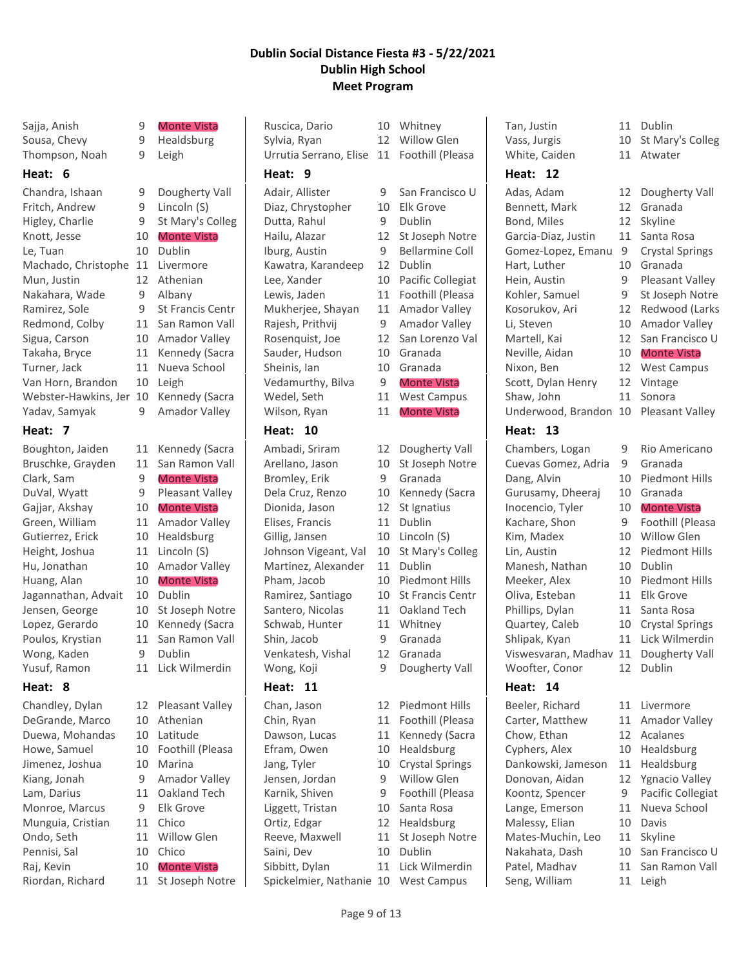Sajja, Anish 9 Monte Vista Sousa, Chevy 9 Healdsburg Thompson, Noah 9 Leigh

#### **Heat: 6**

Chandra, Ishaan 9 Dougherty Vall Fritch, Andrew 9 Lincoln (S) Higley, Charlie 9 St Mary's Colleg Knott, Jesse 10 Monte Vista Le, Tuan 10 Dublin Machado, Christophe 11 Livermore Mun, Justin 12 Athenian Nakahara, Wade 9 Albany Ramirez, Sole 9 St Francis Centr Redmond, Colby 11 San Ramon Vall Sigua, Carson 10 Amador Valley Takaha, Bryce 11 Kennedy (Sacra Turner, Jack 11 Nueva School Van Horn, Brandon 10 Leigh Webster-Hawkins, Jer 10 Kennedy (Sacra Yadav, Samyak 9 Amador Valley

# **Heat: 7**

Boughton, Jaiden 11 Kennedy (Sacra Bruschke, Grayden 11 San Ramon Vall Clark, Sam 9 Monte Vista DuVal, Wyatt 9 Pleasant Valley Gajjar, Akshay 10 Monte Vista Green, William 11 Amador Valley Gutierrez, Erick 10 Healdsburg Height, Joshua 11 Lincoln (S) Hu, Jonathan 10 Amador Valley Huang, Alan 10 Monte Vista Jagannathan, Advait 10 Dublin Jensen, George 10 St Joseph Notre Lopez, Gerardo 10 Kennedy (Sacra Poulos, Krystian 11 San Ramon Vall Wong, Kaden 9 Dublin Yusuf, Ramon 11 Lick Wilmerdin

# **Heat: 8**

Chandley, Dylan 12 Pleasant Valley DeGrande, Marco 10 Athenian Duewa, Mohandas 10 Latitude Howe, Samuel 10 Foothill (Pleasa Jimenez, Joshua 10 Marina Kiang, Jonah 9 Amador Valley Lam, Darius 11 Oakland Tech Monroe, Marcus 9 Elk Grove Munguia, Cristian 11 Chico Ondo, Seth 11 Willow Glen Pennisi, Sal 10 Chico Raj, Kevin 10 Monte Vista

# Riordan, Richard 11 St Joseph Notre

Ruscica, Dario 10 Whitney Sylvia, Ryan 12 Willow Glen Urrutia Serrano, Elise 11 Foothill (Pleasa **Heat: 9** Adair, Allister 9 San Francisco U Diaz, Chrystopher 10 Elk Grove Dutta, Rahul 9 Dublin Hailu, Alazar 12 St Joseph Notre Iburg, Austin 9 Bellarmine Coll Kawatra, Karandeep 12 Dublin Lee, Xander 10 Pacific Collegiat Lewis, Jaden 11 Foothill (Pleasa Mukherjee, Shayan 11 Amador Valley Rajesh, Prithvij 9 Amador Valley Rosenquist, Joe 12 San Lorenzo Val Sauder, Hudson 10 Granada Sheinis, Ian 10 Granada Vedamurthy, Bilva 9 Monte Vista Wedel, Seth 11 West Campus Wilson, Ryan 11 Monte Vista

# **Heat: 10**

Ambadi, Sriram 12 Dougherty Vall Arellano, Jason 10 St Joseph Notre Bromley, Erik 9 Granada Dela Cruz, Renzo 10 Kennedy (Sacra Dionida, Jason 12 St Ignatius Elises, Francis 11 Dublin Gillig, Jansen 10 Lincoln (S) Johnson Vigeant, Val 10 St Mary's Colleg Martinez, Alexander 11 Dublin Pham, Jacob 10 Piedmont Hills Ramirez, Santiago 10 St Francis Centr Santero, Nicolas 11 Oakland Tech Schwab, Hunter 11 Whitney Shin, Jacob 9 Granada Venkatesh, Vishal 12 Granada Wong, Koji 9 Dougherty Vall

# **Heat: 11**

Chan, Jason 12 Piedmont Hills Chin, Ryan 11 Foothill (Pleasa Dawson, Lucas 11 Kennedy (Sacra Efram, Owen 10 Healdsburg Jang, Tyler 10 Crystal Springs Jensen, Jordan 9 Willow Glen Karnik, Shiven 9 Foothill (Pleasa Liggett, Tristan 10 Santa Rosa Ortiz, Edgar 12 Healdsburg Reeve, Maxwell 11 St Joseph Notre Saini, Dev 10 Dublin Sibbitt, Dylan 11 Lick Wilmerdin Spickelmier, Nathanie 10 West Campus

- 
- 
- 
- -

- 
- 
- 
- 
- 
- 
- 

Tan, Justin 11 Dublin Vass, Jurgis 10 St Mary's Colleg White, Caiden 11 Atwater

# **Heat: 12**

Adas, Adam 12 Dougherty Vall Bennett, Mark 12 Granada Bond, Miles 12 Skyline Garcia-Diaz, Justin 11 Santa Rosa Gomez-Lopez, Emanu 9 Crystal Springs Hart, Luther 10 Granada Hein, Austin 9 Pleasant Valley Kohler, Samuel 9 St Joseph Notre Kosorukov, Ari 12 Redwood (Larks Li, Steven 10 Amador Valley Martell, Kai 12 San Francisco U Neville, Aidan 10 Monte Vista Nixon, Ben 12 West Campus Scott, Dylan Henry 12 Vintage Shaw, John 11 Sonora Underwood, Brandon 10 Pleasant Valley

# **Heat: 13**

Chambers, Logan 9 Rio Americano Cuevas Gomez, Adria 9 Granada Dang, Alvin 10 Piedmont Hills Gurusamy, Dheeraj 10 Granada Inocencio, Tyler 10 Monte Vista Kachare, Shon 9 Foothill (Pleasa Kim, Madex 10 Willow Glen Lin, Austin 12 Piedmont Hills Manesh, Nathan 10 Dublin Meeker, Alex 10 Piedmont Hills Oliva, Esteban 11 Elk Grove Phillips, Dylan 11 Santa Rosa Quartey, Caleb 10 Crystal Springs Shlipak, Kyan 11 Lick Wilmerdin Viswesvaran, Madhav 11 Dougherty Vall Woofter, Conor 12 Dublin

# **Heat: 14**

Beeler, Richard 11 Livermore Carter, Matthew 11 Amador Valley Chow, Ethan 12 Acalanes Cyphers, Alex 10 Healdsburg Dankowski, Jameson 11 Healdsburg Donovan, Aidan 12 Ygnacio Valley Koontz, Spencer 9 Pacific Collegiat Lange, Emerson 11 Nueva School Malessy, Elian 10 Davis Mates-Muchin, Leo 11 Skyline Nakahata, Dash 10 San Francisco U Patel, Madhav 11 San Ramon Vall Seng, William 11 Leigh

- 
- 
- 
- 
- 
- 
- 
- 
- -
- 
- -
- -
- 
- 
- 
- 
- 
- 
- 
- 
- 
- -
	-
-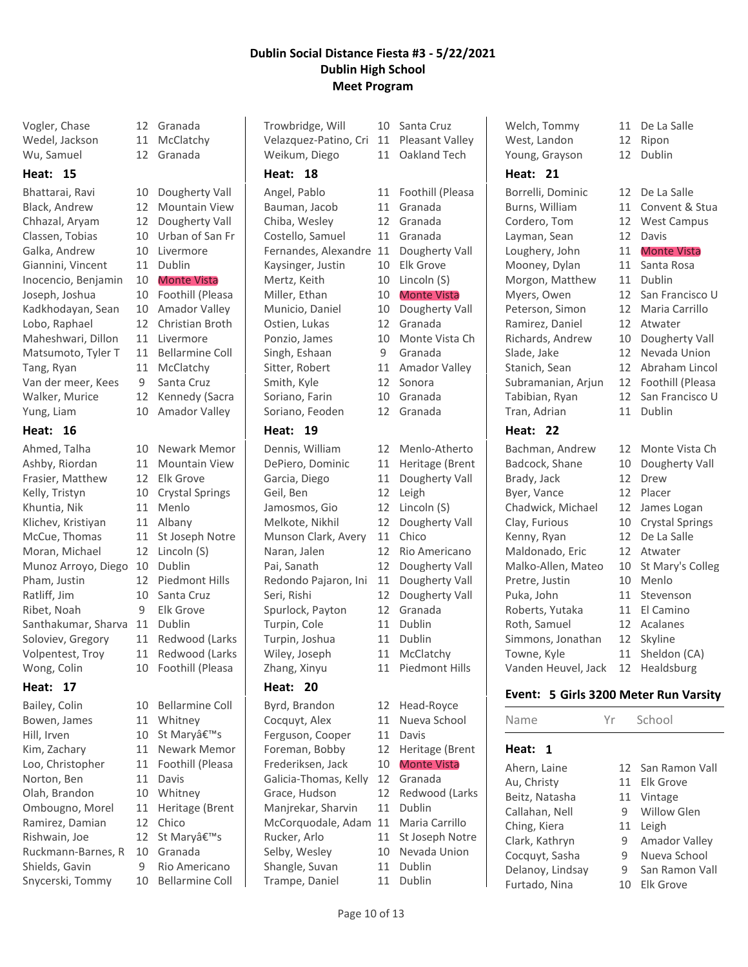Vogler, Chase 12 Granada Wedel, Jackson 11 McClatchy Wu, Samuel 12 Granada

# **Heat: 15**

Bhattarai, Ravi 10 Dougherty Vall Black, Andrew 12 Mountain View Chhazal, Aryam 12 Dougherty Vall Classen, Tobias 10 Urban of San Fr Galka, Andrew 10 Livermore Giannini, Vincent 11 Dublin Inocencio, Benjamin 10 Monte Vista Joseph, Joshua 10 Foothill (Pleasa Kadkhodayan, Sean 10 Amador Valley Lobo, Raphael 12 Christian Broth Maheshwari, Dillon 11 Livermore Matsumoto, Tyler T 11 Bellarmine Coll Tang, Ryan 11 McClatchy Van der meer, Kees 9 Santa Cruz Walker, Murice 12 Kennedy (Sacra Yung, Liam 10 Amador Valley

# **Heat: 16**

| Ahmed, Talha        |
|---------------------|
| Ashby, Riordan      |
| Frasier, Matthew    |
| Kelly, Tristyn      |
| Khuntia, Nik        |
| Klichev, Kristiyan  |
| McCue, Thomas       |
| Moran, Michael      |
| Munoz Arroyo, Diego |
| Pham, Justin        |
| Ratliff, Jim        |
| Ribet, Noah         |
| Santhakumar, Sharva |
| Soloviev, Gregory   |
| Volpentest, Troy    |
| Wong, Colin         |

# **Heat: 17**

Bowen, James 11 Whitney Hill, Irven 10 St Maryâ€™s Norton, Ben 11 Davis Olah, Brandon 10 Whitney Ramirez, Damian 12 Chico Rishwain, Joe 12 St Maryâ€™s Ruckmann-Barnes, R 10 Granada Shields, Gavin 9 Rio Americano

- 10 Newark Memor 11 Mountain View 12 Elk Grove
- 10 Crystal Springs 11 Menlo 11 Albany 11 St Joseph Notre 12 Lincoln (S) 10 Dublin 12 Piedmont Hills 10 Santa Cruz 9 Elk Grove 11 Dublin 11 Redwood (Larks 11 Redwood (Larks 10 Foothill (Pleasa
- Bailey, Colin 10 Bellarmine Coll Kim, Zachary 11 Newark Memor Loo, Christopher 11 Foothill (Pleasa Ombougno, Morel 11 Heritage (Brent Snycerski, Tommy 10 Bellarmine Coll

Trowbridge, Will 10 Santa Cruz Velazquez-Patino, Cri 11 Pleasant Valley Weikum, Diego 11 Oakland Tech **Heat: 18** Angel, Pablo 11 Foothill (Pleasa Bauman, Jacob 11 Granada Chiba, Wesley 12 Granada Costello, Samuel 11 Granada Fernandes, Alexandre 11 Dougherty Vall Kaysinger, Justin 10 Elk Grove Mertz, Keith 10 Lincoln (S) Miller, Ethan 10 Monte Vista Municio, Daniel 10 Dougherty Vall Ostien, Lukas 12 Granada

Singh, Eshaan 9 Granada Smith, Kyle 12 Sonora Soriano, Farin 10 Granada

# **Heat: 19**

Dennis, William 12 Menlo-Atherto DePiero, Dominic 11 Heritage (Brent Garcia, Diego 11 Dougherty Vall Geil, Ben 12 Leigh Jamosmos, Gio 12 Lincoln (S) Melkote, Nikhil 12 Dougherty Vall Munson Clark, Avery 11 Chico Naran, Jalen 12 Rio Americano Pai, Sanath 12 Dougherty Vall Redondo Pajaron, Ini 11 Dougherty Vall Seri, Rishi 12 Dougherty Vall Spurlock, Payton 12 Granada Turpin, Cole 11 Dublin Turpin, Joshua 11 Dublin Wiley, Joseph 11 McClatchy Zhang, Xinyu 11 Piedmont Hills

# **Heat: 20**

Byrd, Brandon 12 Head-Royce Cocquyt, Alex 11 Nueva School Ferguson, Cooper 11 Davis Foreman, Bobby 12 Heritage (Brent Frederiksen, Jack 10 Monte Vista Galicia-Thomas, Kelly 12 Granada Grace, Hudson 12 Redwood (Larks Manjrekar, Sharvin 11 Dublin McCorquodale, Adam 11 Maria Carrillo Rucker, Arlo 11 St Joseph Notre Selby, Wesley 10 Nevada Union Shangle, Suvan 11 Dublin Trampe, Daniel 11 Dublin

Ponzio, James 10 Monte Vista Ch Sitter, Robert 11 Amador Valley Soriano, Feoden 12 Granada

- 
- 
- 
- 

# **Heat: 21**

Borrelli, Dominic 12 De La Salle Burns, William 11 Convent & Stua Cordero, Tom 12 West Campus Layman, Sean 12 Davis Loughery, John 11 Monte Vista Mooney, Dylan 11 Santa Rosa Morgon, Matthew 11 Dublin Myers, Owen 12 San Francisco U Peterson, Simon 12 Maria Carrillo Ramirez, Daniel 12 Atwater Richards, Andrew 10 Dougherty Vall Slade, Jake 12 Nevada Union Stanich, Sean 12 Abraham Lincol Subramanian, Arjun 12 Foothill (Pleasa Tabibian, Ryan 12 San Francisco U Tran, Adrian 11 Dublin

# **Heat: 22**

Badcock, Shane 10 Dougherty Vall Brady, Jack 12 Drew Byer, Vance 12 Placer Chadwick, Michael 12 James Logan Clay, Furious 10 Crystal Springs Kenny, Ryan 12 De La Salle Maldonado, Eric 12 Atwater Malko-Allen, Mateo 10 St Mary's Colleg Pretre, Justin 10 Menlo Puka, John 11 Stevenson Roberts, Yutaka 11 El Camino Roth, Samuel 12 Acalanes Simmons, Jonathan 12 Skyline Towne, Kyle 11 Sheldon (CA) Vanden Heuvel, Jack 12 Healdsburg

- Welch, Tommy 11 De La Salle
	-
	-
	-
	-
	-
	-
	-
	-
	-
	-
	-
	-
	-
	-
	-
- Bachman, Andrew 12 Monte Vista Ch

# **Event: 5 Girls 3200 Meter Run Varsity**

| Name             | Yr | School            |
|------------------|----|-------------------|
| Heat:            |    |                   |
| Ahern, Laine     |    | 12 San Ramon Vall |
| Au, Christy      | 11 | Flk Grove         |
| Beitz, Natasha   | 11 | Vintage           |
| Callahan, Nell   | 9  | Willow Glen       |
| Ching, Kiera     | 11 | Leigh             |
| Clark, Kathryn   | 9  | Amador Valley     |
| Cocquyt, Sasha   | 9  | Nueva School      |
| Delanoy, Lindsay | 9  | San Ramon Vall    |
| Furtado, Nina    | 10 | Flk Grove         |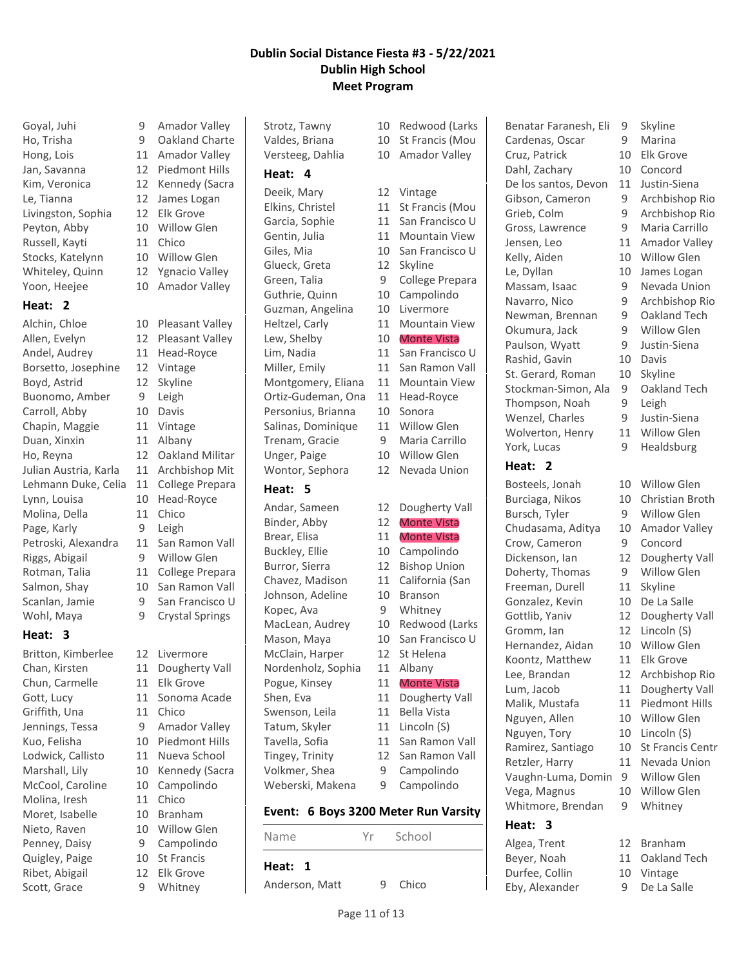Le, Tianna 12 James Logan Livingston, Sophia 12 Elk Grove Peyton, Abby 10 Willow Glen Russell, Kayti 11 Chico Stocks, Katelynn 10 Willow Glen

#### **Heat: 2**

Allen, Evelyn 12 Pleasant Valley Andel, Audrey 11 Head-Royce Borsetto, Josephine 12 Vintage Boyd, Astrid 12 Skyline Buonomo, Amber 9 Leigh Carroll, Abby 10 Davis Chapin, Maggie 11 Vintage Duan, Xinxin 11 Albany Ho, Reyna 12 Oakland Militar Julian Austria, Karla 11 Archbishop Mit Lehmann Duke, Celia 11 College Prepara Lynn, Louisa 10 Head-Royce Molina, Della 11 Chico Page, Karly 9 Leigh Petroski, Alexandra 11 San Ramon Vall Riggs, Abigail 9 Willow Glen Rotman, Talia 11 College Prepara Salmon, Shay 10 San Ramon Vall Scanlan, Jamie 9 San Francisco U

# **Heat: 3**

Britton, Kimberlee 12 Livermore Chun, Carmelle 11 Elk Grove Griffith, Una 11 Chico McCool, Caroline 10 Campolindo Molina, Iresh 11 Chico Moret, Isabelle 10 Branham Nieto, Raven 10 Willow Glen Penney, Daisy 9 Campolindo Quigley, Paige 10 St Francis Ribet, Abigail 12 Elk Grove Scott, Grace 9 Whitney

Goyal, Juhi 9 Amador Valley Ho, Trisha 9 Oakland Charte Hong, Lois 11 Amador Valley Jan, Savanna 12 Piedmont Hills Kim, Veronica 12 Kennedy (Sacra Whiteley, Quinn 12 Ygnacio Valley Yoon, Heejee 10 Amador Valley Alchin, Chloe 10 Pleasant Valley Wohl, Maya 9 Crystal Springs Chan, Kirsten 11 Dougherty Vall Gott, Lucy 11 Sonoma Acade Jennings, Tessa 9 Amador Valley Kuo, Felisha 10 Piedmont Hills Lodwick, Callisto 11 Nueva School Marshall, Lily 10 Kennedy (Sacra

#### **Heat: 4**

Deeik, Mary 12 Vintage Elkins, Christel 11 St Francis (Mou Garcia, Sophie 11 San Francisco U Gentin, Julia 11 Mountain View Giles, Mia 10 San Francisco U Glueck, Greta 12 Skyline Green, Talia 9 College Prepara Guthrie, Quinn 10 Campolindo Guzman, Angelina 10 Livermore Heltzel, Carly 11 Mountain View Lew, Shelby 10 Monte Vista Lim, Nadia 11 San Francisco U Miller, Emily 11 San Ramon Vall Montgomery, Eliana 11 Mountain View Ortiz-Gudeman, Ona 11 Head-Royce Personius, Brianna 10 Sonora Salinas, Dominique 11 Willow Glen Trenam, Gracie 9 Maria Carrillo Unger, Paige 10 Willow Glen

### **Heat: 5**

Andar, Sameen 12 Dougherty Vall Binder, Abby 12 Monte Vista Brear, Elisa 11 Monte Vista Buckley, Ellie 10 Campolindo Burror, Sierra 12 Bishop Union Chavez, Madison 11 California (San Johnson, Adeline 10 Branson Kopec, Ava 9 Whitney MacLean, Audrey 10 Redwood (Larks Mason, Maya 10 San Francisco U McClain, Harper 12 St Helena Nordenholz, Sophia 11 Albany Pogue, Kinsey 11 Monte Vista Shen, Eva 11 Dougherty Vall Swenson, Leila 11 Bella Vista Tatum, Skyler 11 Lincoln (S) Tavella, Sofia 11 San Ramon Vall Tingey, Trinity 12 San Ramon Vall Volkmer, Shea 9 Campolindo

# Weberski, Makena 9 Campolindo

# **Event: 6 Boys 3200 Meter Run Varsity**

**Heat: 1** Anderson, Matt 9 Chico

Strotz, Tawny 10 Redwood (Larks Valdes, Briana 10 St Francis (Mou Versteeg, Dahlia 10 Amador Valley

Wontor, Sephora 12 Nevada Union

- -
	-
	-
	-
	-

# Name Yr School

Benatar Faranesh, Eli 9 Skyline Cardenas, Oscar 9 Marina Cruz, Patrick 10 Elk Grove Dahl, Zachary 10 Concord De los santos, Devon 11 Justin-Siena Gibson, Cameron 9 Archbishop Rio Grieb, Colm 9 Archbishop Rio Gross, Lawrence 9 Maria Carrillo Jensen, Leo 11 Amador Valley Kelly, Aiden 10 Willow Glen Le, Dyllan 10 James Logan Massam, Isaac 9 Nevada Union Navarro, Nico 9 Archbishop Rio Newman, Brennan 9 Oakland Tech Okumura, Jack 9 Willow Glen Paulson, Wyatt 9 Justin-Siena Rashid, Gavin 10 Davis St. Gerard, Roman 10 Skyline Stockman-Simon, Ala 9 Oakland Tech Thompson, Noah 9 Leigh Wenzel, Charles 9 Justin-Siena Wolverton, Henry 11 Willow Glen York, Lucas 9 Healdsburg **Heat: 2** Bosteels, Jonah 10 Willow Glen

Burciaga, Nikos 10 Christian Broth Bursch, Tyler 9 Willow Glen Chudasama, Aditya 10 Amador Valley Crow, Cameron 9 Concord Dickenson, Ian 12 Dougherty Vall Doherty, Thomas 9 Willow Glen Freeman, Durell 11 Skyline Gonzalez, Kevin 10 De La Salle Gottlib, Yaniv 12 Dougherty Vall Gromm, Ian 12 Lincoln (S) Hernandez, Aidan 10 Willow Glen Koontz, Matthew 11 Elk Grove Lee, Brandan 12 Archbishop Rio Lum, Jacob 11 Dougherty Vall Malik, Mustafa 11 Piedmont Hills Nguyen, Allen 10 Willow Glen Nguyen, Tory 10 Lincoln (S) Ramirez, Santiago 10 St Francis Centr Retzler, Harry 11 Nevada Union Vaughn-Luma, Domin 9 Willow Glen Vega, Magnus 10 Willow Glen Whitmore, Brendan 9 Whitney

# **Heat: 3**

Algea, Trent 12 Branham Beyer, Noah 11 Oakland Tech<br>Durfee, Collin 10 Vintage Durfee, Collin 10 Vintage Eby, Alexander 9 De La Salle

- 
- 
- 
- 
- 
- 
- 
- 
-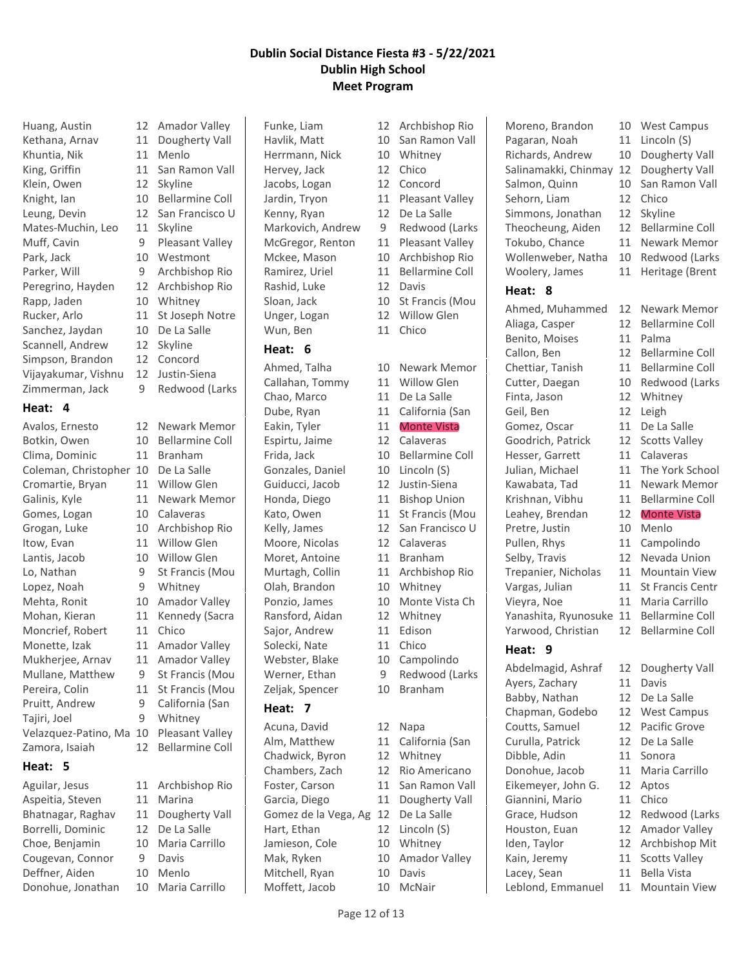Huang, Austin 12 Amador Valley Kethana, Arnav 11 Dougherty Vall Khuntia, Nik 11 Menlo King, Griffin 11 San Ramon Vall Klein, Owen 12 Skyline Knight, Ian 10 Bellarmine Coll Leung, Devin 12 San Francisco U Mates-Muchin, Leo 11 Skyline Muff, Cavin 9 Pleasant Valley Park, Jack 10 Westmont Parker, Will 9 Archbishop Rio Peregrino, Hayden 12 Archbishop Rio Rapp, Jaden 10 Whitney Rucker, Arlo 11 St Joseph Notre Sanchez, Jaydan 10 De La Salle Scannell, Andrew 12 Skyline Simpson, Brandon 12 Concord Vijayakumar, Vishnu 12 Justin-Siena Zimmerman, Jack 9 Redwood (Larks

#### **Heat: 4**

| Avalos, Ernesto      | 12 |
|----------------------|----|
| Botkin, Owen         | 10 |
| Clima, Dominic       | 11 |
| Coleman, Christopher | 10 |
| Cromartie, Bryan     | 11 |
| Galinis, Kyle        | 11 |
| Gomes, Logan         | 10 |
| Grogan, Luke         | 10 |
| Itow, Evan           | 11 |
| Lantis, Jacob        | 10 |
| Lo, Nathan           | 9  |
| Lopez, Noah          | 9  |
| Mehta, Ronit         | 10 |
| Mohan, Kieran        | 11 |
| Moncrief, Robert     | 11 |
| Monette, Izak        | 11 |
| Mukherjee, Arnav     | 11 |
| Mullane, Matthew     | 9  |
| Pereira, Colin       | 11 |
| Pruitt, Andrew       | 9  |
| Tajiri, Joel         | 9  |
| Velazquez-Patino, Ma | 10 |
| Zamora, Isaiah       | 12 |
| <b>Heat:</b><br>5    |    |

Aguilar, Jesus 11 Archbishop Rio Aspeitia, Steven 11 Marina Bhatnagar, Raghav 11 Dougherty Vall Borrelli, Dominic 12 De La Salle Choe, Benjamin 10 Maria Carrillo Cougevan, Connor 9 Davis Deffner, Aiden 10 Menlo Donohue, Jonathan 10 Maria Carrillo

Newark Memor Bellarmine Coll **Branham** De La Salle Willow Glen Newark Memor Calaveras Archbishop Rio Willow Glen Willow Glen St Francis (Mou Whitney Amador Valley Kennedy (Sacra Chico Amador Valley Amador Valley St Francis (Mou St Francis (Mou California (San Whitney Pleasant Valley Bellarmine Coll

Funke, Liam 12 Archbishop Rio Havlik, Matt 10 San Ramon Vall Herrmann, Nick 10 Whitney Hervey, Jack 12 Chico Jacobs, Logan 12 Concord Jardin, Tryon 11 Pleasant Valley Kenny, Ryan 12 De La Salle Markovich, Andrew 9 Redwood (Larks McGregor, Renton 11 Pleasant Valley Mckee, Mason 10 Archbishop Rio Ramirez, Uriel 11 Bellarmine Coll Rashid, Luke 12 Davis Sloan, Jack 10 St Francis (Mou Unger, Logan 12 Willow Glen Wun, Ben 11 Chico

### **Heat: 6**

Callahan, Tommy 11 Willow Glen Chao, Marco 11 De La Salle Eakin, Tyler 11 Monte Vista Espirtu, Jaime 12 Calaveras Gonzales, Daniel 10 Lincoln (S) Guiducci, Jacob 12 Justin-Siena Honda, Diego 11 Bishop Union Moore, Nicolas 12 Calaveras Moret, Antoine 11 Branham Olah, Brandon 10 Whitney Ransford, Aidan 12 Whitney Sajor, Andrew 11 Edison Solecki, Nate 11 Chico Webster, Blake 10 Campolindo Zeljak, Spencer 10 Branham **Heat: 7**

Acuna, David 12 Napa Alm, Matthew 11 California (San Chadwick, Byron 12 Whitney Chambers, Zach 12 Rio Americano Foster, Carson 11 San Ramon Vall Garcia, Diego 11 Dougherty Vall Gomez de la Vega, Ag 12 De La Salle Hart, Ethan 12 Lincoln (S) Jamieson, Cole 10 Whitney Mak, Ryken 10 Amador Valley Mitchell, Ryan 10 Davis

Ahmed, Talha 10 Newark Memor Dube, Ryan 11 California (San Frida, Jack 10 Bellarmine Coll Kato, Owen 11 St Francis (Mou Kelly, James 12 San Francisco U Murtagh, Collin 11 Archbishop Rio Ponzio, James 10 Monte Vista Ch Werner, Ethan 9 Redwood (Larks Moffett, Jacob 10 McNair

Moreno, Brandon 10 West Campus Pagaran, Noah 11 Lincoln (S) Richards, Andrew 10 Dougherty Vall Salinamakki, Chinmay 12 Dougherty Vall Salmon, Quinn 10 San Ramon Vall Sehorn, Liam 12 Chico Simmons, Jonathan 12 Skyline Theocheung, Aiden 12 Bellarmine Coll Tokubo, Chance 11 Newark Memor Wollenweber, Natha 10 Redwood (Larks Woolery, James 11 Heritage (Brent **Heat: 8** Ahmed, Muhammed 12 Newark Memor Aliaga, Casper 12 Bellarmine Coll Benito, Moises 11 Palma Callon, Ben 12 Bellarmine Coll Chettiar, Tanish 11 Bellarmine Coll Cutter, Daegan 10 Redwood (Larks Finta, Jason 12 Whitney Geil, Ben 12 Leigh Gomez, Oscar 11 De La Salle

Goodrich, Patrick 12 Scotts Valley Hesser, Garrett 11 Calaveras Julian, Michael 11 The York School Kawabata, Tad 11 Newark Memor Krishnan, Vibhu 11 Bellarmine Coll Leahey, Brendan 12 Monte Vista Pretre, Justin 10 Menlo Pullen, Rhys 11 Campolindo Selby, Travis 12 Nevada Union Trepanier, Nicholas 11 Mountain View Vargas, Julian 11 St Francis Centr Vieyra, Noe 11 Maria Carrillo Yanashita, Ryunosuke 11 Bellarmine Coll Yarwood, Christian 12 Bellarmine Coll

# **Heat: 9**

Abdelmagid, Ashraf 12 Dougherty Vall Ayers, Zachary 11 Davis Babby, Nathan 12 De La Salle Chapman, Godebo 12 West Campus Coutts, Samuel 12 Pacific Grove Curulla, Patrick 12 De La Salle Dibble, Adin 11 Sonora Donohue, Jacob 11 Maria Carrillo Eikemeyer, John G. 12 Aptos Giannini, Mario 11 Chico Grace, Hudson 12 Redwood (Larks Houston, Euan 12 Amador Valley Iden, Taylor 12 Archbishop Mit Kain, Jeremy 11 Scotts Valley Lacey, Sean 11 Bella Vista

- 
- 
- 
- 
- 
- 
- 
- 
- 
- 
- 
- 
- 
- 
- 
- 
- 
- 
- 
- 
- 
- Leblond, Emmanuel 11 Mountain View